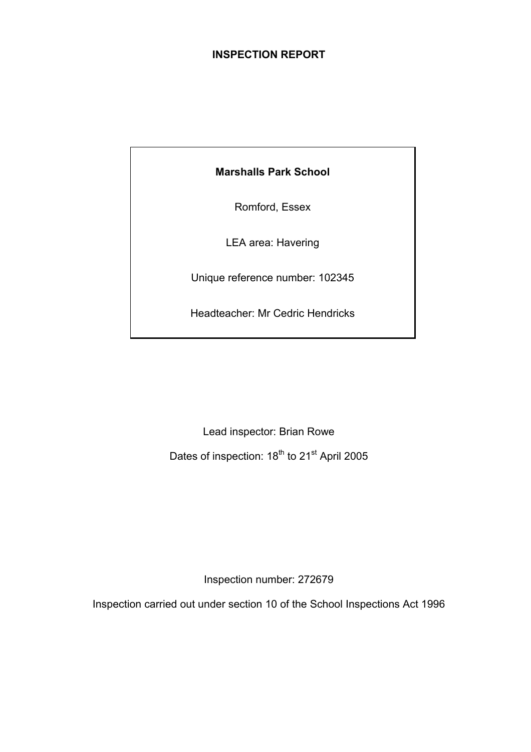# **INSPECTION REPORT**

**Marshalls Park School** 

Romford, Essex

LEA area: Havering

Unique reference number: 102345

Headteacher: Mr Cedric Hendricks

Lead inspector: Brian Rowe

Dates of inspection: 18<sup>th</sup> to 21<sup>st</sup> April 2005

Inspection number: 272679

Inspection carried out under section 10 of the School Inspections Act 1996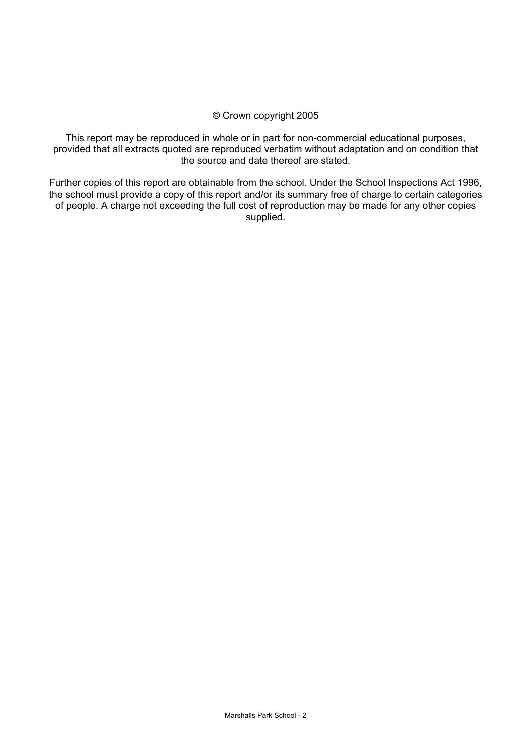# © Crown copyright 2005

This report may be reproduced in whole or in part for non-commercial educational purposes, provided that all extracts quoted are reproduced verbatim without adaptation and on condition that the source and date thereof are stated.

Further copies of this report are obtainable from the school. Under the School Inspections Act 1996, the school must provide a copy of this report and/or its summary free of charge to certain categories of people. A charge not exceeding the full cost of reproduction may be made for any other copies supplied.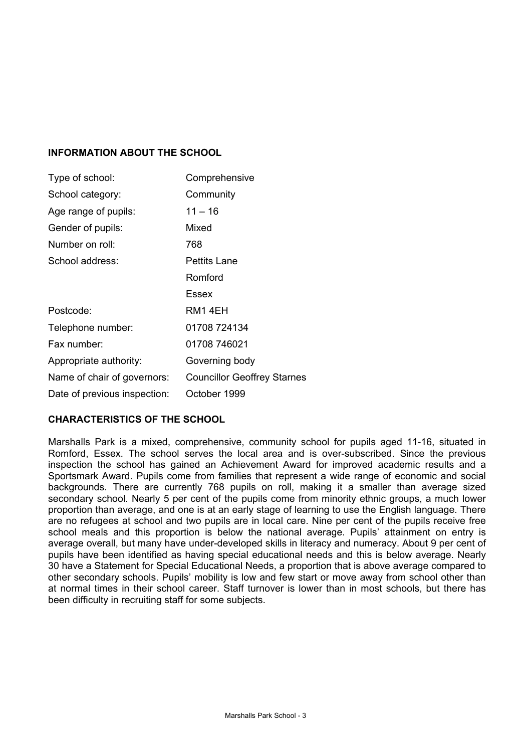# **INFORMATION ABOUT THE SCHOOL**

| Type of school:              | Comprehensive                      |
|------------------------------|------------------------------------|
| School category:             | Community                          |
| Age range of pupils:         | $11 - 16$                          |
| Gender of pupils:            | Mixed                              |
| Number on roll:              | 768                                |
| School address:              | Pettits Lane                       |
|                              | Romford                            |
|                              | Essex                              |
| Postcode:                    | RM1 4EH                            |
| Telephone number:            | 01708 724134                       |
| Fax number:                  | 01708 746021                       |
| Appropriate authority:       | Governing body                     |
| Name of chair of governors:  | <b>Councillor Geoffrey Starnes</b> |
| Date of previous inspection: | October 1999                       |

# **CHARACTERISTICS OF THE SCHOOL**

Marshalls Park is a mixed, comprehensive, community school for pupils aged 11-16, situated in Romford, Essex. The school serves the local area and is over-subscribed. Since the previous inspection the school has gained an Achievement Award for improved academic results and a Sportsmark Award. Pupils come from families that represent a wide range of economic and social backgrounds. There are currently 768 pupils on roll, making it a smaller than average sized secondary school. Nearly 5 per cent of the pupils come from minority ethnic groups, a much lower proportion than average, and one is at an early stage of learning to use the English language. There are no refugees at school and two pupils are in local care. Nine per cent of the pupils receive free school meals and this proportion is below the national average. Pupils' attainment on entry is average overall, but many have under-developed skills in literacy and numeracy. About 9 per cent of pupils have been identified as having special educational needs and this is below average. Nearly 30 have a Statement for Special Educational Needs, a proportion that is above average compared to other secondary schools. Pupils' mobility is low and few start or move away from school other than at normal times in their school career. Staff turnover is lower than in most schools, but there has been difficulty in recruiting staff for some subjects.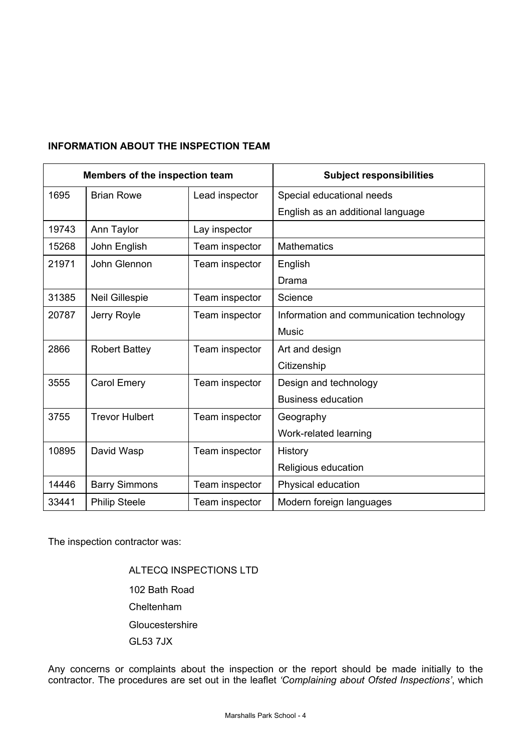# **INFORMATION ABOUT THE INSPECTION TEAM**

| Members of the inspection team |                       |                | <b>Subject responsibilities</b>          |
|--------------------------------|-----------------------|----------------|------------------------------------------|
| 1695                           | <b>Brian Rowe</b>     | Lead inspector | Special educational needs                |
|                                |                       |                | English as an additional language        |
| 19743                          | Ann Taylor            | Lay inspector  |                                          |
| 15268                          | John English          | Team inspector | <b>Mathematics</b>                       |
| 21971                          | John Glennon          | Team inspector | English                                  |
|                                |                       |                | Drama                                    |
| 31385                          | <b>Neil Gillespie</b> | Team inspector | Science                                  |
| 20787                          | Jerry Royle           | Team inspector | Information and communication technology |
|                                |                       |                | <b>Music</b>                             |
| 2866                           | <b>Robert Battey</b>  | Team inspector | Art and design                           |
|                                |                       |                | Citizenship                              |
| 3555                           | Carol Emery           | Team inspector | Design and technology                    |
|                                |                       |                | <b>Business education</b>                |
| 3755                           | <b>Trevor Hulbert</b> | Team inspector | Geography                                |
|                                |                       |                | Work-related learning                    |
| 10895                          | David Wasp            | Team inspector | History                                  |
|                                |                       |                | Religious education                      |
| 14446                          | <b>Barry Simmons</b>  | Team inspector | Physical education                       |
| 33441                          | <b>Philip Steele</b>  | Team inspector | Modern foreign languages                 |

The inspection contractor was:

 ALTECQ INSPECTIONS LTD 102 Bath Road Cheltenham **Gloucestershire** GL53 7JX

Any concerns or complaints about the inspection or the report should be made initially to the contractor. The procedures are set out in the leaflet *'Complaining about Ofsted Inspections'*, which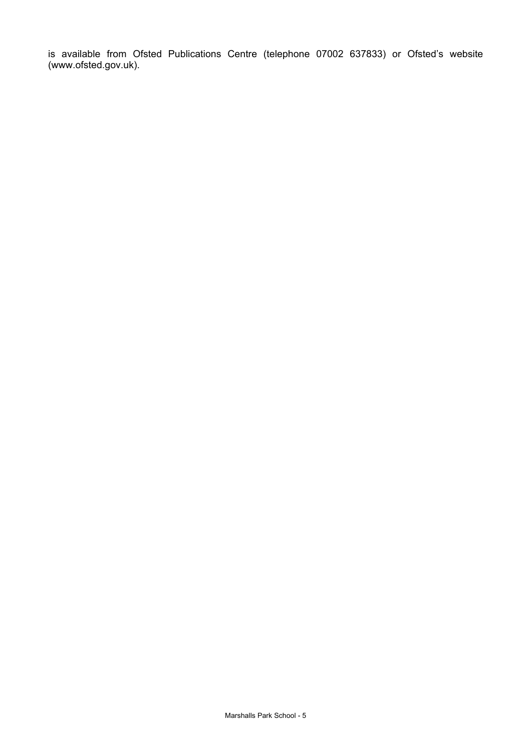is available from Ofsted Publications Centre (telephone 07002 637833) or Ofsted's website (www.ofsted.gov.uk).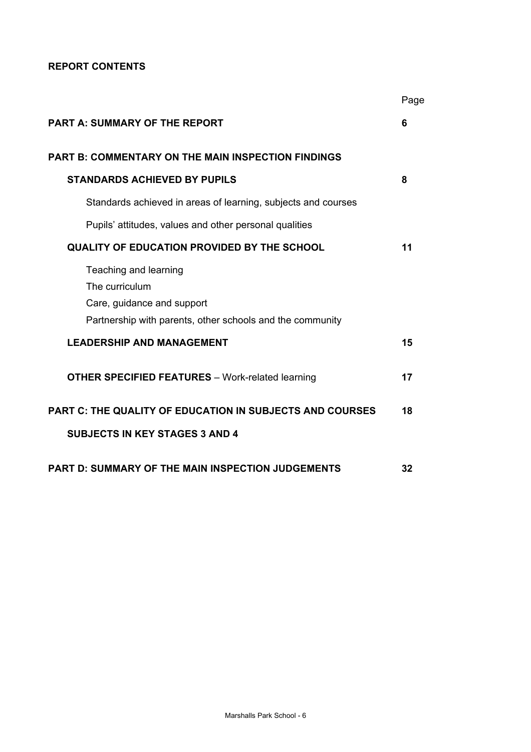# **REPORT CONTENTS**

|                                                                                                                                    | Page |
|------------------------------------------------------------------------------------------------------------------------------------|------|
| <b>PART A: SUMMARY OF THE REPORT</b>                                                                                               | 6    |
| <b>PART B: COMMENTARY ON THE MAIN INSPECTION FINDINGS</b>                                                                          |      |
| <b>STANDARDS ACHIEVED BY PUPILS</b>                                                                                                | 8    |
| Standards achieved in areas of learning, subjects and courses                                                                      |      |
| Pupils' attitudes, values and other personal qualities                                                                             |      |
| <b>QUALITY OF EDUCATION PROVIDED BY THE SCHOOL</b>                                                                                 | 11   |
| Teaching and learning<br>The curriculum<br>Care, guidance and support<br>Partnership with parents, other schools and the community |      |
| <b>LEADERSHIP AND MANAGEMENT</b>                                                                                                   | 15   |
| <b>OTHER SPECIFIED FEATURES</b> - Work-related learning                                                                            | 17   |
| <b>PART C: THE QUALITY OF EDUCATION IN SUBJECTS AND COURSES</b>                                                                    | 18   |
| <b>SUBJECTS IN KEY STAGES 3 AND 4</b>                                                                                              |      |
| <b>PART D: SUMMARY OF THE MAIN INSPECTION JUDGEMENTS</b>                                                                           | 32   |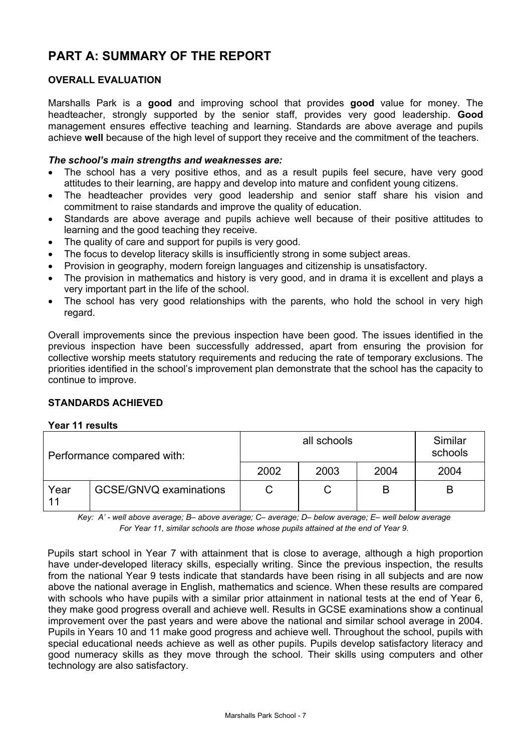# **PART A: SUMMARY OF THE REPORT**

# **OVERALL EVALUATION**

Marshalls Park is a **good** and improving school that provides **good** value for money. The headteacher, strongly supported by the senior staff, provides very good leadership. **Good**  management ensures effective teaching and learning. Standards are above average and pupils achieve **well** because of the high level of support they receive and the commitment of the teachers.

#### *The school's main strengths and weaknesses are:*

- The school has a very positive ethos, and as a result pupils feel secure, have very good attitudes to their learning, are happy and develop into mature and confident young citizens.
- The headteacher provides very good leadership and senior staff share his vision and commitment to raise standards and improve the quality of education.
- Standards are above average and pupils achieve well because of their positive attitudes to learning and the good teaching they receive.
- The quality of care and support for pupils is very good.
- The focus to develop literacy skills is insufficiently strong in some subject areas.
- Provision in geography, modern foreign languages and citizenship is unsatisfactory.
- The provision in mathematics and history is very good, and in drama it is excellent and plays a very important part in the life of the school.
- The school has very good relationships with the parents, who hold the school in very high regard.

Overall improvements since the previous inspection have been good. The issues identified in the previous inspection have been successfully addressed, apart from ensuring the provision for collective worship meets statutory requirements and reducing the rate of temporary exclusions. The priorities identified in the school's improvement plan demonstrate that the school has the capacity to continue to improve.

#### **STANDARDS ACHIEVED**

#### **Year 11 results**

| Performance compared with: |                               |      | Similar<br>schools |      |      |
|----------------------------|-------------------------------|------|--------------------|------|------|
|                            |                               | 2002 | 2003               | 2004 | 2004 |
| Year<br>11                 | <b>GCSE/GNVQ examinations</b> | C    |                    | B    |      |

*Key: A' - well above average; B– above average; C– average; D– below average; E– well below average For Year 11, similar schools are those whose pupils attained at the end of Year 9.* 

Pupils start school in Year 7 with attainment that is close to average, although a high proportion have under-developed literacy skills, especially writing. Since the previous inspection, the results from the national Year 9 tests indicate that standards have been rising in all subjects and are now above the national average in English, mathematics and science. When these results are compared with schools who have pupils with a similar prior attainment in national tests at the end of Year 6, they make good progress overall and achieve well. Results in GCSE examinations show a continual improvement over the past years and were above the national and similar school average in 2004. Pupils in Years 10 and 11 make good progress and achieve well. Throughout the school, pupils with special educational needs achieve as well as other pupils. Pupils develop satisfactory literacy and good numeracy skills as they move through the school. Their skills using computers and other technology are also satisfactory.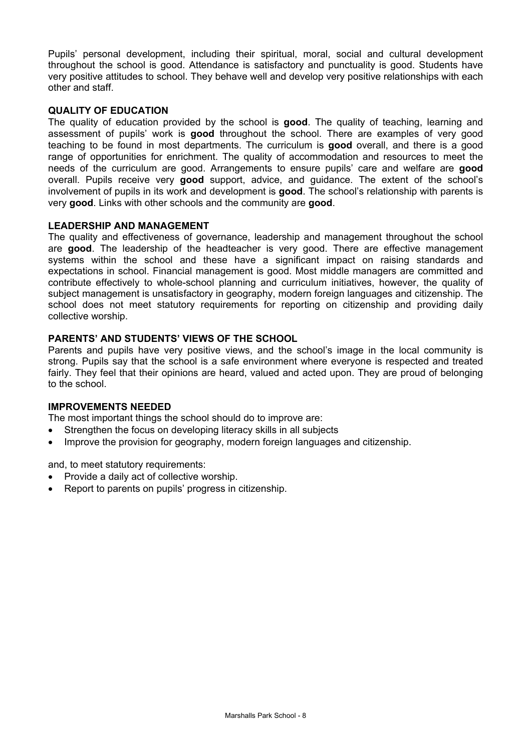Pupils' personal development, including their spiritual, moral, social and cultural development throughout the school is good. Attendance is satisfactory and punctuality is good. Students have very positive attitudes to school. They behave well and develop very positive relationships with each other and staff.

# **QUALITY OF EDUCATION**

The quality of education provided by the school is **good**. The quality of teaching, learning and assessment of pupils' work is **good** throughout the school. There are examples of very good teaching to be found in most departments. The curriculum is **good** overall, and there is a good range of opportunities for enrichment. The quality of accommodation and resources to meet the needs of the curriculum are good. Arrangements to ensure pupils' care and welfare are **good** overall. Pupils receive very **good** support, advice, and guidance. The extent of the school's involvement of pupils in its work and development is **good**. The school's relationship with parents is very **good**. Links with other schools and the community are **good**.

#### **LEADERSHIP AND MANAGEMENT**

The quality and effectiveness of governance, leadership and management throughout the school are **good**. The leadership of the headteacher is very good. There are effective management systems within the school and these have a significant impact on raising standards and expectations in school. Financial management is good. Most middle managers are committed and contribute effectively to whole-school planning and curriculum initiatives, however, the quality of subject management is unsatisfactory in geography, modern foreign languages and citizenship. The school does not meet statutory requirements for reporting on citizenship and providing daily collective worship.

#### **PARENTS' AND STUDENTS' VIEWS OF THE SCHOOL**

Parents and pupils have very positive views, and the school's image in the local community is strong. Pupils say that the school is a safe environment where everyone is respected and treated fairly. They feel that their opinions are heard, valued and acted upon. They are proud of belonging to the school.

#### **IMPROVEMENTS NEEDED**

The most important things the school should do to improve are:

- Strengthen the focus on developing literacy skills in all subjects
- Improve the provision for geography, modern foreign languages and citizenship.

and, to meet statutory requirements:

- Provide a daily act of collective worship.
- Report to parents on pupils' progress in citizenship.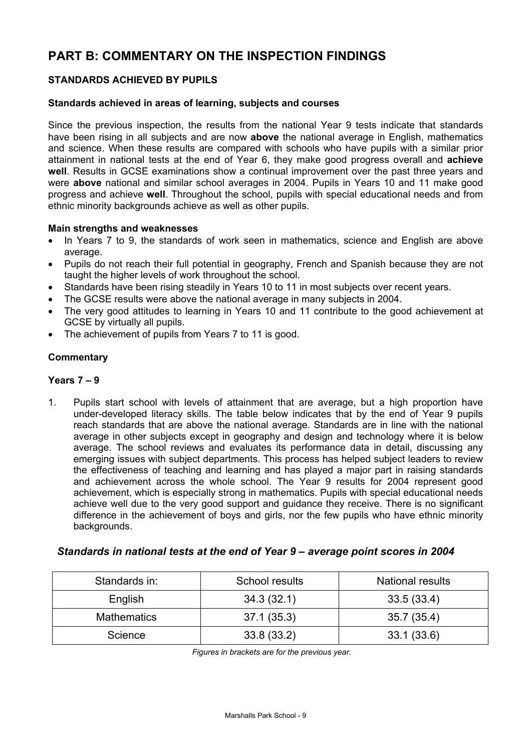# **PART B: COMMENTARY ON THE INSPECTION FINDINGS**

# **STANDARDS ACHIEVED BY PUPILS**

#### **Standards achieved in areas of learning, subjects and courses**

Since the previous inspection, the results from the national Year 9 tests indicate that standards have been rising in all subjects and are now **above** the national average in English, mathematics and science. When these results are compared with schools who have pupils with a similar prior attainment in national tests at the end of Year 6, they make good progress overall and **achieve well**. Results in GCSE examinations show a continual improvement over the past three years and were **above** national and similar school averages in 2004. Pupils in Years 10 and 11 make good progress and achieve **well**. Throughout the school, pupils with special educational needs and from ethnic minority backgrounds achieve as well as other pupils.

#### **Main strengths and weaknesses**

- In Years 7 to 9, the standards of work seen in mathematics, science and English are above average.
- Pupils do not reach their full potential in geography, French and Spanish because they are not taught the higher levels of work throughout the school.
- Standards have been rising steadily in Years 10 to 11 in most subjects over recent years.
- The GCSE results were above the national average in many subjects in 2004.
- The very good attitudes to learning in Years 10 and 11 contribute to the good achievement at GCSE by virtually all pupils.
- The achievement of pupils from Years 7 to 11 is good.

# **Commentary**

# **Years 7 – 9**

1. Pupils start school with levels of attainment that are average, but a high proportion have under-developed literacy skills. The table below indicates that by the end of Year 9 pupils reach standards that are above the national average. Standards are in line with the national average in other subjects except in geography and design and technology where it is below average. The school reviews and evaluates its performance data in detail, discussing any emerging issues with subject departments. This process has helped subject leaders to review the effectiveness of teaching and learning and has played a major part in raising standards and achievement across the whole school. The Year 9 results for 2004 represent good achievement, which is especially strong in mathematics. Pupils with special educational needs achieve well due to the very good support and guidance they receive. There is no significant difference in the achievement of boys and girls, nor the few pupils who have ethnic minority backgrounds.

# *Standards in national tests at the end of Year 9 – average point scores in 2004*

| Standards in:      | School results | <b>National results</b> |
|--------------------|----------------|-------------------------|
| English            | 34.3(32.1)     | 33.5(33.4)              |
| <b>Mathematics</b> | 37.1 (35.3)    | 35.7 (35.4)             |
| Science            | 33.8(33.2)     | 33.1(33.6)              |

*Figures in brackets are for the previous year.*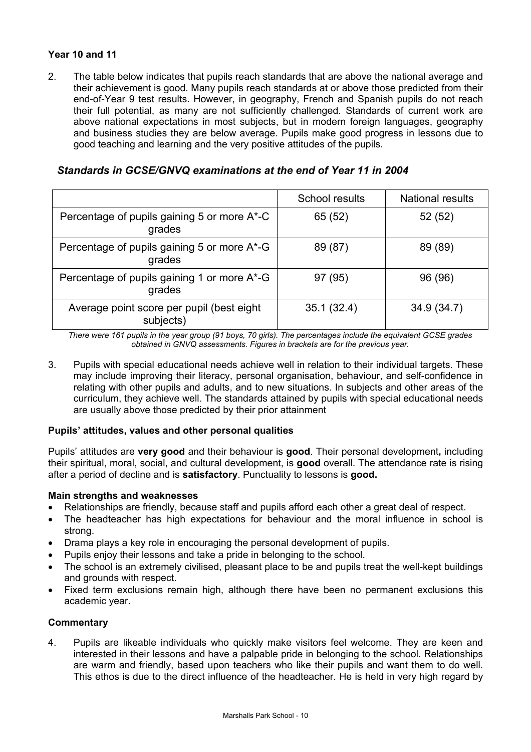# **Year 10 and 11**

2. The table below indicates that pupils reach standards that are above the national average and their achievement is good. Many pupils reach standards at or above those predicted from their end-of-Year 9 test results. However, in geography, French and Spanish pupils do not reach their full potential, as many are not sufficiently challenged. Standards of current work are above national expectations in most subjects, but in modern foreign languages, geography and business studies they are below average. Pupils make good progress in lessons due to good teaching and learning and the very positive attitudes of the pupils.

|                                                        | School results | <b>National results</b> |
|--------------------------------------------------------|----------------|-------------------------|
| Percentage of pupils gaining 5 or more A*-C<br>grades  | 65 (52)        | 52(52)                  |
| Percentage of pupils gaining 5 or more A*-G<br>grades  | 89 (87)        | 89 (89)                 |
| Percentage of pupils gaining 1 or more A*-G<br>grades  | 97 (95)        | 96 (96)                 |
| Average point score per pupil (best eight<br>subjects) | 35.1(32.4)     | 34.9(34.7)              |

# *Standards in GCSE/GNVQ examinations at the end of Year 11 in 2004*

*There were 161 pupils in the year group (91 boys, 70 girls). The percentages include the equivalent GCSE grades obtained in GNVQ assessments. Figures in brackets are for the previous year.* 

3. Pupils with special educational needs achieve well in relation to their individual targets. These may include improving their literacy, personal organisation, behaviour, and self-confidence in relating with other pupils and adults, and to new situations. In subjects and other areas of the curriculum, they achieve well. The standards attained by pupils with special educational needs are usually above those predicted by their prior attainment

# **Pupils' attitudes, values and other personal qualities**

Pupils' attitudes are **very good** and their behaviour is **good**. Their personal development**,** including their spiritual, moral, social, and cultural development, is **good** overall. The attendance rate is rising after a period of decline and is **satisfactory**. Punctuality to lessons is **good.** 

# **Main strengths and weaknesses**

- Relationships are friendly, because staff and pupils afford each other a great deal of respect.
- The headteacher has high expectations for behaviour and the moral influence in school is strong.
- Drama plays a key role in encouraging the personal development of pupils.
- Pupils enjoy their lessons and take a pride in belonging to the school.
- The school is an extremely civilised, pleasant place to be and pupils treat the well-kept buildings and grounds with respect.
- Fixed term exclusions remain high, although there have been no permanent exclusions this academic year.

# **Commentary**

4. Pupils are likeable individuals who quickly make visitors feel welcome. They are keen and interested in their lessons and have a palpable pride in belonging to the school. Relationships are warm and friendly, based upon teachers who like their pupils and want them to do well. This ethos is due to the direct influence of the headteacher. He is held in very high regard by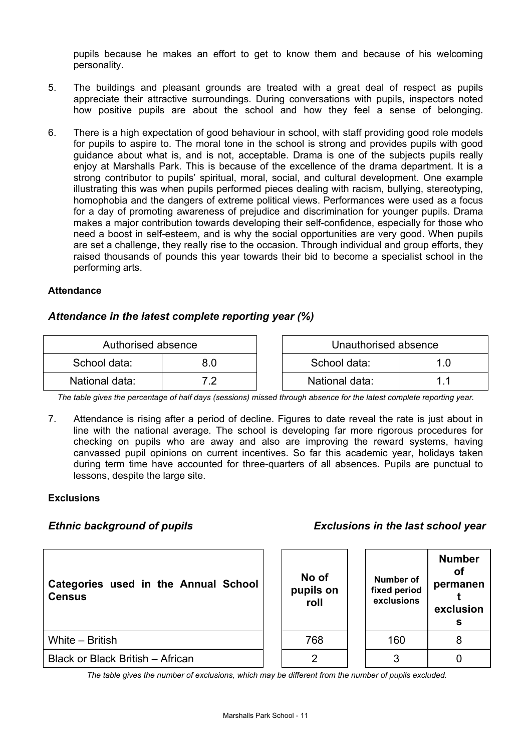pupils because he makes an effort to get to know them and because of his welcoming personality.

- 5. The buildings and pleasant grounds are treated with a great deal of respect as pupils appreciate their attractive surroundings. During conversations with pupils, inspectors noted how positive pupils are about the school and how they feel a sense of belonging.
- 6. There is a high expectation of good behaviour in school, with staff providing good role models for pupils to aspire to. The moral tone in the school is strong and provides pupils with good guidance about what is, and is not, acceptable. Drama is one of the subjects pupils really enjoy at Marshalls Park. This is because of the excellence of the drama department. It is a strong contributor to pupils' spiritual, moral, social, and cultural development. One example illustrating this was when pupils performed pieces dealing with racism, bullying, stereotyping, homophobia and the dangers of extreme political views. Performances were used as a focus for a day of promoting awareness of prejudice and discrimination for younger pupils. Drama makes a major contribution towards developing their self-confidence, especially for those who need a boost in self-esteem, and is why the social opportunities are very good. When pupils are set a challenge, they really rise to the occasion. Through individual and group efforts, they raised thousands of pounds this year towards their bid to become a specialist school in the performing arts.

# **Attendance**

# *Attendance in the latest complete reporting year (%)*

| Authorised absence |     | Unauthorised absence |  |
|--------------------|-----|----------------------|--|
| School data:       | 3.O | School data:         |  |
| National data:     | 79  | National data:       |  |

*The table gives the percentage of half days (sessions) missed through absence for the latest complete reporting year.*

7. Attendance is rising after a period of decline. Figures to date reveal the rate is just about in line with the national average. The school is developing far more rigorous procedures for checking on pupils who are away and also are improving the reward systems, having canvassed pupil opinions on current incentives. So far this academic year, holidays taken during term time have accounted for three-quarters of all absences. Pupils are punctual to lessons, despite the large site.

#### **Exclusions**

# *Ethnic background of pupils Exclusions in the last school year*

| Categories used in the Annual School<br><b>Census</b> | No of<br>pupils on<br>roll | Number of<br>fixed period<br>exclusions | <b>Number</b><br>Οf<br>permanen<br>exclusion<br>s |
|-------------------------------------------------------|----------------------------|-----------------------------------------|---------------------------------------------------|
| White - British                                       | 768                        | 160                                     | 8                                                 |
| Black or Black British - African                      | 2                          | 3                                       |                                                   |

*The table gives the number of exclusions, which may be different from the number of pupils excluded.*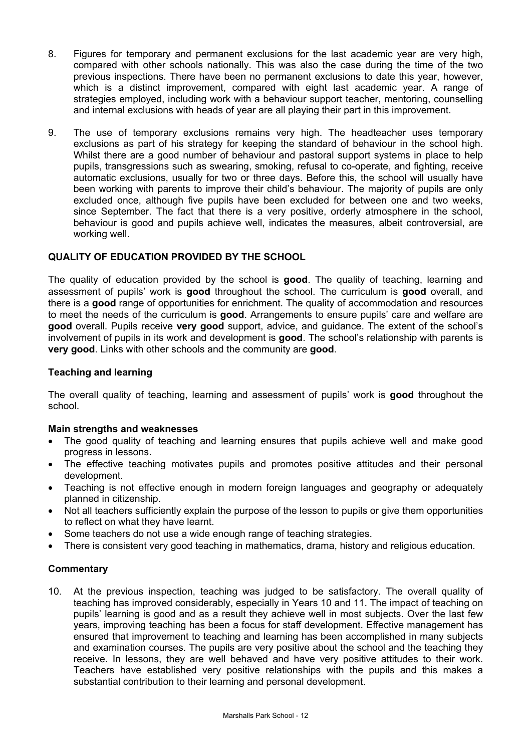- 8. Figures for temporary and permanent exclusions for the last academic year are very high, compared with other schools nationally. This was also the case during the time of the two previous inspections. There have been no permanent exclusions to date this year, however, which is a distinct improvement, compared with eight last academic year. A range of strategies employed, including work with a behaviour support teacher, mentoring, counselling and internal exclusions with heads of year are all playing their part in this improvement.
- 9. The use of temporary exclusions remains very high. The headteacher uses temporary exclusions as part of his strategy for keeping the standard of behaviour in the school high. Whilst there are a good number of behaviour and pastoral support systems in place to help pupils, transgressions such as swearing, smoking, refusal to co-operate, and fighting, receive automatic exclusions, usually for two or three days. Before this, the school will usually have been working with parents to improve their child's behaviour. The majority of pupils are only excluded once, although five pupils have been excluded for between one and two weeks, since September. The fact that there is a very positive, orderly atmosphere in the school, behaviour is good and pupils achieve well, indicates the measures, albeit controversial, are working well.

# **QUALITY OF EDUCATION PROVIDED BY THE SCHOOL**

The quality of education provided by the school is **good**. The quality of teaching, learning and assessment of pupils' work is **good** throughout the school. The curriculum is **good** overall, and there is a **good** range of opportunities for enrichment. The quality of accommodation and resources to meet the needs of the curriculum is **good**. Arrangements to ensure pupils' care and welfare are **good** overall. Pupils receive **very good** support, advice, and guidance. The extent of the school's involvement of pupils in its work and development is **good**. The school's relationship with parents is **very good**. Links with other schools and the community are **good**.

# **Teaching and learning**

The overall quality of teaching, learning and assessment of pupils' work is **good** throughout the school.

# **Main strengths and weaknesses**

- The good quality of teaching and learning ensures that pupils achieve well and make good progress in lessons.
- The effective teaching motivates pupils and promotes positive attitudes and their personal development.
- Teaching is not effective enough in modern foreign languages and geography or adequately planned in citizenship.
- Not all teachers sufficiently explain the purpose of the lesson to pupils or give them opportunities to reflect on what they have learnt.
- Some teachers do not use a wide enough range of teaching strategies.
- There is consistent very good teaching in mathematics, drama, history and religious education.

# **Commentary**

10. At the previous inspection, teaching was judged to be satisfactory. The overall quality of teaching has improved considerably, especially in Years 10 and 11. The impact of teaching on pupils' learning is good and as a result they achieve well in most subjects. Over the last few years, improving teaching has been a focus for staff development. Effective management has ensured that improvement to teaching and learning has been accomplished in many subjects and examination courses. The pupils are very positive about the school and the teaching they receive. In lessons, they are well behaved and have very positive attitudes to their work. Teachers have established very positive relationships with the pupils and this makes a substantial contribution to their learning and personal development.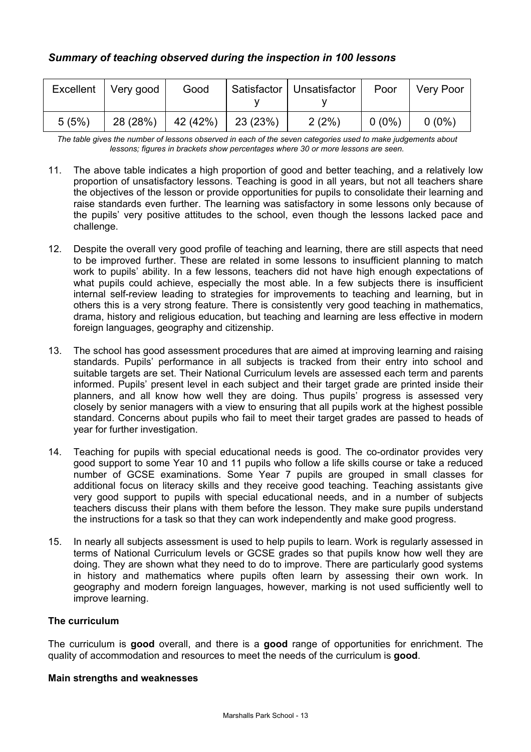|       | Excellent   Very good | Good     |          | Satisfactor   Unsatisfactor | Poor     | <b>Very Poor</b> |
|-------|-----------------------|----------|----------|-----------------------------|----------|------------------|
| 5(5%) | 28 (28%)              | 42 (42%) | 23 (23%) | 2(2%)                       | $0(0\%)$ | $0(0\%)$         |

*The table gives the number of lessons observed in each of the seven categories used to make judgements about lessons; figures in brackets show percentages where 30 or more lessons are seen.* 

- 11. The above table indicates a high proportion of good and better teaching, and a relatively low proportion of unsatisfactory lessons. Teaching is good in all years, but not all teachers share the objectives of the lesson or provide opportunities for pupils to consolidate their learning and raise standards even further. The learning was satisfactory in some lessons only because of the pupils' very positive attitudes to the school, even though the lessons lacked pace and challenge.
- 12. Despite the overall very good profile of teaching and learning, there are still aspects that need to be improved further. These are related in some lessons to insufficient planning to match work to pupils' ability. In a few lessons, teachers did not have high enough expectations of what pupils could achieve, especially the most able. In a few subjects there is insufficient internal self-review leading to strategies for improvements to teaching and learning, but in others this is a very strong feature. There is consistently very good teaching in mathematics, drama, history and religious education, but teaching and learning are less effective in modern foreign languages, geography and citizenship.
- 13. The school has good assessment procedures that are aimed at improving learning and raising standards. Pupils' performance in all subjects is tracked from their entry into school and suitable targets are set. Their National Curriculum levels are assessed each term and parents informed. Pupils' present level in each subject and their target grade are printed inside their planners, and all know how well they are doing. Thus pupils' progress is assessed very closely by senior managers with a view to ensuring that all pupils work at the highest possible standard. Concerns about pupils who fail to meet their target grades are passed to heads of year for further investigation.
- 14. Teaching for pupils with special educational needs is good. The co-ordinator provides very good support to some Year 10 and 11 pupils who follow a life skills course or take a reduced number of GCSE examinations. Some Year 7 pupils are grouped in small classes for additional focus on literacy skills and they receive good teaching. Teaching assistants give very good support to pupils with special educational needs, and in a number of subjects teachers discuss their plans with them before the lesson. They make sure pupils understand the instructions for a task so that they can work independently and make good progress.
- 15. In nearly all subjects assessment is used to help pupils to learn. Work is regularly assessed in terms of National Curriculum levels or GCSE grades so that pupils know how well they are doing. They are shown what they need to do to improve. There are particularly good systems in history and mathematics where pupils often learn by assessing their own work. In geography and modern foreign languages, however, marking is not used sufficiently well to improve learning.

# **The curriculum**

The curriculum is **good** overall, and there is a **good** range of opportunities for enrichment. The quality of accommodation and resources to meet the needs of the curriculum is **good**.

#### **Main strengths and weaknesses**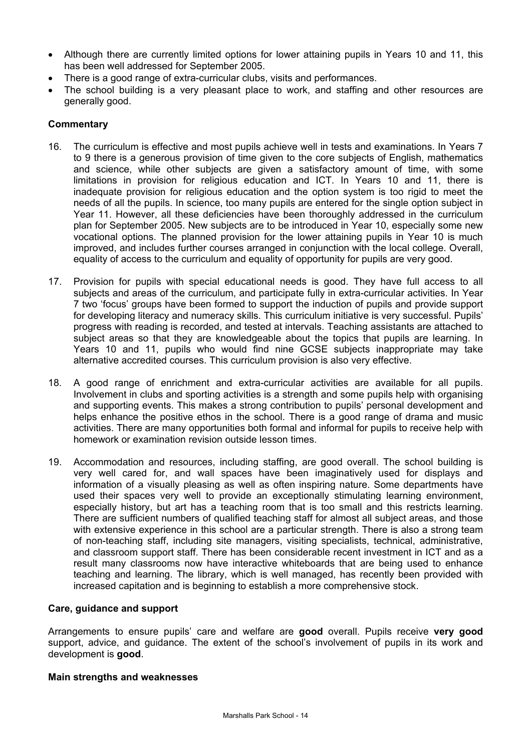- Although there are currently limited options for lower attaining pupils in Years 10 and 11, this has been well addressed for September 2005.
- There is a good range of extra-curricular clubs, visits and performances.
- The school building is a very pleasant place to work, and staffing and other resources are generally good.

#### **Commentary**

- 16. The curriculum is effective and most pupils achieve well in tests and examinations. In Years 7 to 9 there is a generous provision of time given to the core subjects of English, mathematics and science, while other subjects are given a satisfactory amount of time, with some limitations in provision for religious education and ICT. In Years 10 and 11, there is inadequate provision for religious education and the option system is too rigid to meet the needs of all the pupils. In science, too many pupils are entered for the single option subject in Year 11. However, all these deficiencies have been thoroughly addressed in the curriculum plan for September 2005. New subjects are to be introduced in Year 10, especially some new vocational options. The planned provision for the lower attaining pupils in Year 10 is much improved, and includes further courses arranged in conjunction with the local college. Overall, equality of access to the curriculum and equality of opportunity for pupils are very good.
- 17. Provision for pupils with special educational needs is good. They have full access to all subjects and areas of the curriculum, and participate fully in extra-curricular activities. In Year 7 two 'focus' groups have been formed to support the induction of pupils and provide support for developing literacy and numeracy skills. This curriculum initiative is very successful. Pupils' progress with reading is recorded, and tested at intervals. Teaching assistants are attached to subject areas so that they are knowledgeable about the topics that pupils are learning. In Years 10 and 11, pupils who would find nine GCSE subjects inappropriate may take alternative accredited courses. This curriculum provision is also very effective.
- 18. A good range of enrichment and extra-curricular activities are available for all pupils. Involvement in clubs and sporting activities is a strength and some pupils help with organising and supporting events. This makes a strong contribution to pupils' personal development and helps enhance the positive ethos in the school. There is a good range of drama and music activities. There are many opportunities both formal and informal for pupils to receive help with homework or examination revision outside lesson times.
- 19. Accommodation and resources, including staffing, are good overall. The school building is very well cared for, and wall spaces have been imaginatively used for displays and information of a visually pleasing as well as often inspiring nature. Some departments have used their spaces very well to provide an exceptionally stimulating learning environment, especially history, but art has a teaching room that is too small and this restricts learning. There are sufficient numbers of qualified teaching staff for almost all subject areas, and those with extensive experience in this school are a particular strength. There is also a strong team of non-teaching staff, including site managers, visiting specialists, technical, administrative, and classroom support staff. There has been considerable recent investment in ICT and as a result many classrooms now have interactive whiteboards that are being used to enhance teaching and learning. The library, which is well managed, has recently been provided with increased capitation and is beginning to establish a more comprehensive stock.

#### **Care, guidance and support**

Arrangements to ensure pupils' care and welfare are **good** overall. Pupils receive **very good**  support, advice, and guidance. The extent of the school's involvement of pupils in its work and development is **good**.

#### **Main strengths and weaknesses**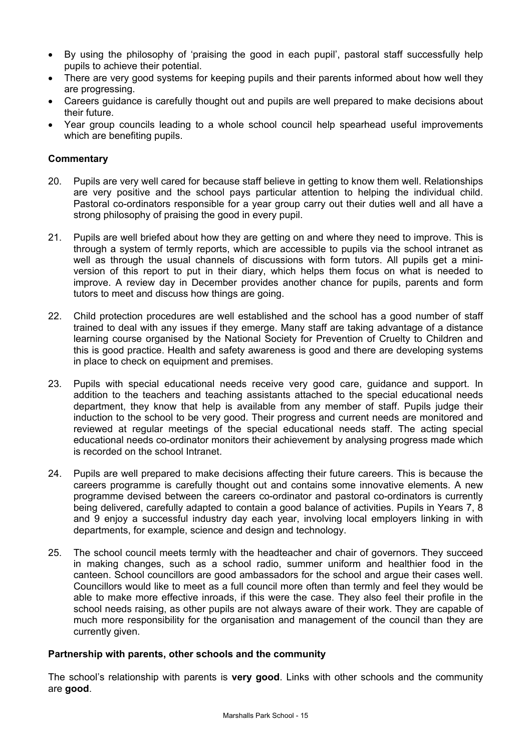- By using the philosophy of 'praising the good in each pupil', pastoral staff successfully help pupils to achieve their potential.
- There are very good systems for keeping pupils and their parents informed about how well they are progressing.
- Careers guidance is carefully thought out and pupils are well prepared to make decisions about their future.
- Year group councils leading to a whole school council help spearhead useful improvements which are benefiting pupils.

#### **Commentary**

- 20. Pupils are very well cared for because staff believe in getting to know them well. Relationships are very positive and the school pays particular attention to helping the individual child. Pastoral co-ordinators responsible for a year group carry out their duties well and all have a strong philosophy of praising the good in every pupil.
- 21. Pupils are well briefed about how they are getting on and where they need to improve. This is through a system of termly reports, which are accessible to pupils via the school intranet as well as through the usual channels of discussions with form tutors. All pupils get a miniversion of this report to put in their diary, which helps them focus on what is needed to improve. A review day in December provides another chance for pupils, parents and form tutors to meet and discuss how things are going.
- 22. Child protection procedures are well established and the school has a good number of staff trained to deal with any issues if they emerge. Many staff are taking advantage of a distance learning course organised by the National Society for Prevention of Cruelty to Children and this is good practice. Health and safety awareness is good and there are developing systems in place to check on equipment and premises.
- 23. Pupils with special educational needs receive very good care, guidance and support. In addition to the teachers and teaching assistants attached to the special educational needs department, they know that help is available from any member of staff. Pupils judge their induction to the school to be very good. Their progress and current needs are monitored and reviewed at regular meetings of the special educational needs staff. The acting special educational needs co-ordinator monitors their achievement by analysing progress made which is recorded on the school Intranet.
- 24. Pupils are well prepared to make decisions affecting their future careers. This is because the careers programme is carefully thought out and contains some innovative elements. A new programme devised between the careers co-ordinator and pastoral co-ordinators is currently being delivered, carefully adapted to contain a good balance of activities. Pupils in Years 7, 8 and 9 enjoy a successful industry day each year, involving local employers linking in with departments, for example, science and design and technology.
- 25. The school council meets termly with the headteacher and chair of governors. They succeed in making changes, such as a school radio, summer uniform and healthier food in the canteen. School councillors are good ambassadors for the school and argue their cases well. Councillors would like to meet as a full council more often than termly and feel they would be able to make more effective inroads, if this were the case. They also feel their profile in the school needs raising, as other pupils are not always aware of their work. They are capable of much more responsibility for the organisation and management of the council than they are currently given.

#### **Partnership with parents, other schools and the community**

The school's relationship with parents is **very good**. Links with other schools and the community are **good**.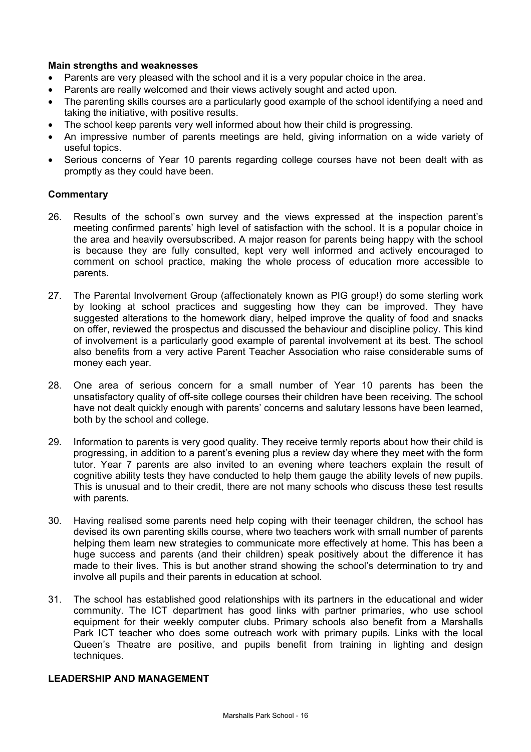#### **Main strengths and weaknesses**

- Parents are very pleased with the school and it is a very popular choice in the area.
- Parents are really welcomed and their views actively sought and acted upon.
- The parenting skills courses are a particularly good example of the school identifying a need and taking the initiative, with positive results.
- The school keep parents very well informed about how their child is progressing.
- An impressive number of parents meetings are held, giving information on a wide variety of useful topics.
- Serious concerns of Year 10 parents regarding college courses have not been dealt with as promptly as they could have been.

#### **Commentary**

- 26. Results of the school's own survey and the views expressed at the inspection parent's meeting confirmed parents' high level of satisfaction with the school. It is a popular choice in the area and heavily oversubscribed. A major reason for parents being happy with the school is because they are fully consulted, kept very well informed and actively encouraged to comment on school practice, making the whole process of education more accessible to parents.
- 27. The Parental Involvement Group (affectionately known as PIG group!) do some sterling work by looking at school practices and suggesting how they can be improved. They have suggested alterations to the homework diary, helped improve the quality of food and snacks on offer, reviewed the prospectus and discussed the behaviour and discipline policy. This kind of involvement is a particularly good example of parental involvement at its best. The school also benefits from a very active Parent Teacher Association who raise considerable sums of money each year.
- 28. One area of serious concern for a small number of Year 10 parents has been the unsatisfactory quality of off-site college courses their children have been receiving. The school have not dealt quickly enough with parents' concerns and salutary lessons have been learned, both by the school and college.
- 29. Information to parents is very good quality. They receive termly reports about how their child is progressing, in addition to a parent's evening plus a review day where they meet with the form tutor. Year 7 parents are also invited to an evening where teachers explain the result of cognitive ability tests they have conducted to help them gauge the ability levels of new pupils. This is unusual and to their credit, there are not many schools who discuss these test results with parents.
- 30. Having realised some parents need help coping with their teenager children, the school has devised its own parenting skills course, where two teachers work with small number of parents helping them learn new strategies to communicate more effectively at home. This has been a huge success and parents (and their children) speak positively about the difference it has made to their lives. This is but another strand showing the school's determination to try and involve all pupils and their parents in education at school.
- 31. The school has established good relationships with its partners in the educational and wider community. The ICT department has good links with partner primaries, who use school equipment for their weekly computer clubs. Primary schools also benefit from a Marshalls Park ICT teacher who does some outreach work with primary pupils. Links with the local Queen's Theatre are positive, and pupils benefit from training in lighting and design techniques.

#### **LEADERSHIP AND MANAGEMENT**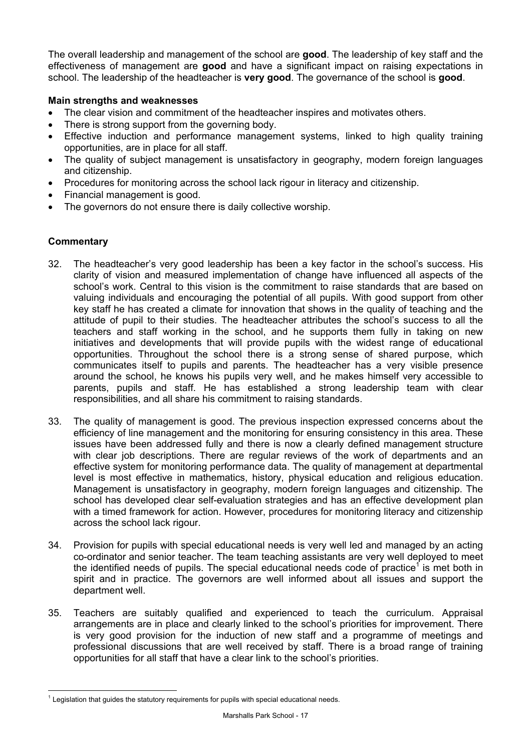The overall leadership and management of the school are **good**. The leadership of key staff and the effectiveness of management are **good** and have a significant impact on raising expectations in school. The leadership of the headteacher is **very good**. The governance of the school is **good**.

# **Main strengths and weaknesses**

- The clear vision and commitment of the headteacher inspires and motivates others.
- There is strong support from the governing body.
- Effective induction and performance management systems, linked to high quality training opportunities, are in place for all staff.
- The quality of subject management is unsatisfactory in geography, modern foreign languages and citizenship.
- Procedures for monitoring across the school lack rigour in literacy and citizenship.
- Financial management is good.
- The governors do not ensure there is daily collective worship.

- 32. The headteacher's very good leadership has been a key factor in the school's success. His clarity of vision and measured implementation of change have influenced all aspects of the school's work. Central to this vision is the commitment to raise standards that are based on valuing individuals and encouraging the potential of all pupils. With good support from other key staff he has created a climate for innovation that shows in the quality of teaching and the attitude of pupil to their studies. The headteacher attributes the school's success to all the teachers and staff working in the school, and he supports them fully in taking on new initiatives and developments that will provide pupils with the widest range of educational opportunities. Throughout the school there is a strong sense of shared purpose, which communicates itself to pupils and parents. The headteacher has a very visible presence around the school, he knows his pupils very well, and he makes himself very accessible to parents, pupils and staff. He has established a strong leadership team with clear responsibilities, and all share his commitment to raising standards.
- 33. The quality of management is good. The previous inspection expressed concerns about the efficiency of line management and the monitoring for ensuring consistency in this area. These issues have been addressed fully and there is now a clearly defined management structure with clear job descriptions. There are regular reviews of the work of departments and an effective system for monitoring performance data. The quality of management at departmental level is most effective in mathematics, history, physical education and religious education. Management is unsatisfactory in geography, modern foreign languages and citizenship. The school has developed clear self-evaluation strategies and has an effective development plan with a timed framework for action. However, procedures for monitoring literacy and citizenship across the school lack rigour.
- 34. Provision for pupils with special educational needs is very well led and managed by an acting co-ordinator and senior teacher. The team teaching assistants are very well deployed to meet the identified needs of pupils. The special educational needs code of practice<sup>1</sup> is met both in spirit and in practice. The governors are well informed about all issues and support the department well.
- 35. Teachers are suitably qualified and experienced to teach the curriculum. Appraisal arrangements are in place and clearly linked to the school's priorities for improvement. There is very good provision for the induction of new staff and a programme of meetings and professional discussions that are well received by staff. There is a broad range of training opportunities for all staff that have a clear link to the school's priorities.

 $\overline{a}$ 1 Legislation that guides the statutory requirements for pupils with special educational needs.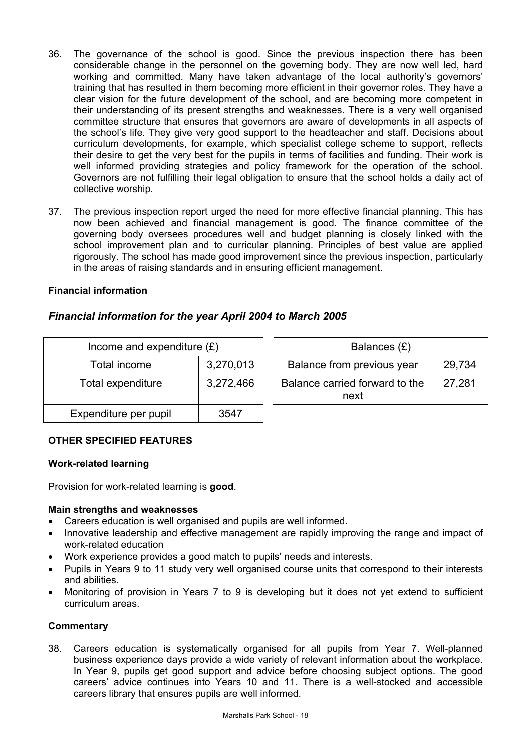- 36. The governance of the school is good. Since the previous inspection there has been considerable change in the personnel on the governing body. They are now well led, hard working and committed. Many have taken advantage of the local authority's governors' training that has resulted in them becoming more efficient in their governor roles. They have a clear vision for the future development of the school, and are becoming more competent in their understanding of its present strengths and weaknesses. There is a very well organised committee structure that ensures that governors are aware of developments in all aspects of the school's life. They give very good support to the headteacher and staff. Decisions about curriculum developments, for example, which specialist college scheme to support, reflects their desire to get the very best for the pupils in terms of facilities and funding. Their work is well informed providing strategies and policy framework for the operation of the school. Governors are not fulfilling their legal obligation to ensure that the school holds a daily act of collective worship.
- 37. The previous inspection report urged the need for more effective financial planning. This has now been achieved and financial management is good. The finance committee of the governing body oversees procedures well and budget planning is closely linked with the school improvement plan and to curricular planning. Principles of best value are applied rigorously. The school has made good improvement since the previous inspection, particularly in the areas of raising standards and in ensuring efficient management.

# **Financial information**

# *Financial information for the year April 2004 to March 2005*

| Income and expenditure $(E)$ |           | Balances (£)                                     |  |  |
|------------------------------|-----------|--------------------------------------------------|--|--|
| Total income                 | 3,270,013 | Balance from previous year<br>29,734             |  |  |
| Total expenditure            | 3,272,466 | Balance carried forward to the<br>27,281<br>next |  |  |
| Expenditure per pupil        | 3547      |                                                  |  |  |

# **OTHER SPECIFIED FEATURES**

#### **Work-related learning**

Provision for work-related learning is **good**.

# **Main strengths and weaknesses**

- Careers education is well organised and pupils are well informed.
- Innovative leadership and effective management are rapidly improving the range and impact of work-related education
- Work experience provides a good match to pupils' needs and interests.
- Pupils in Years 9 to 11 study very well organised course units that correspond to their interests and abilities.
- Monitoring of provision in Years 7 to 9 is developing but it does not yet extend to sufficient curriculum areas.

# **Commentary**

38. Careers education is systematically organised for all pupils from Year 7. Well-planned business experience days provide a wide variety of relevant information about the workplace. In Year 9, pupils get good support and advice before choosing subject options. The good careers' advice continues into Years 10 and 11. There is a well-stocked and accessible careers library that ensures pupils are well informed.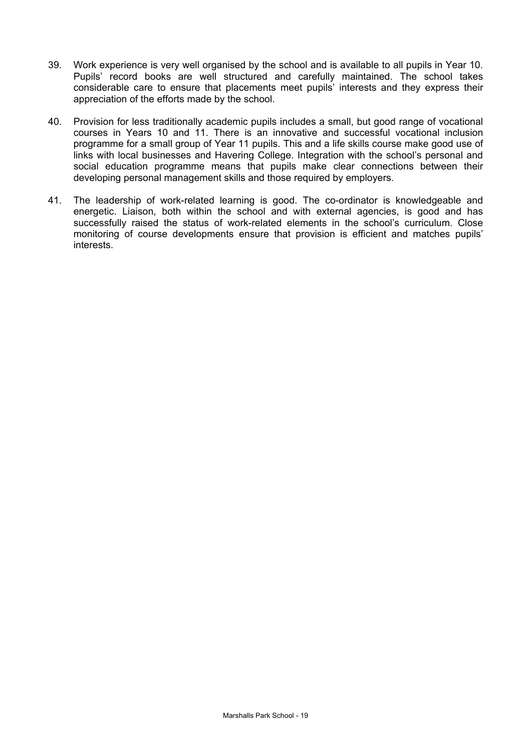- 39. Work experience is very well organised by the school and is available to all pupils in Year 10. Pupils' record books are well structured and carefully maintained. The school takes considerable care to ensure that placements meet pupils' interests and they express their appreciation of the efforts made by the school.
- 40. Provision for less traditionally academic pupils includes a small, but good range of vocational courses in Years 10 and 11. There is an innovative and successful vocational inclusion programme for a small group of Year 11 pupils. This and a life skills course make good use of links with local businesses and Havering College. Integration with the school's personal and social education programme means that pupils make clear connections between their developing personal management skills and those required by employers.
- 41. The leadership of work-related learning is good. The co-ordinator is knowledgeable and energetic. Liaison, both within the school and with external agencies, is good and has successfully raised the status of work-related elements in the school's curriculum. Close monitoring of course developments ensure that provision is efficient and matches pupils' interests.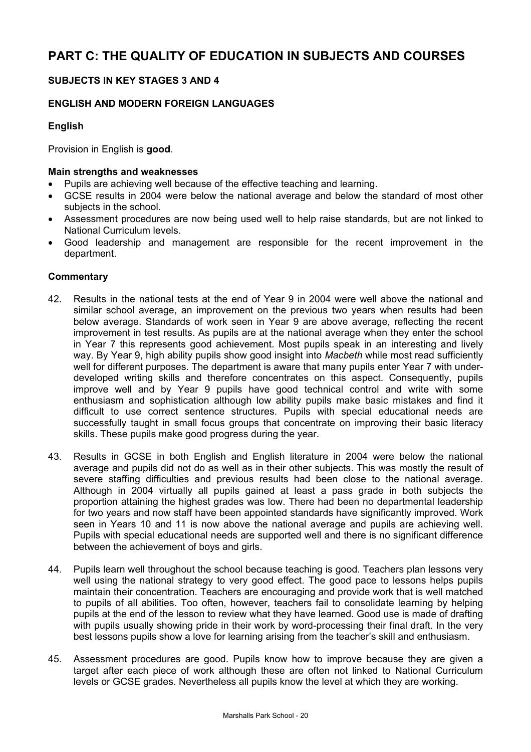# **SUBJECTS IN KEY STAGES 3 AND 4**

# **ENGLISH AND MODERN FOREIGN LANGUAGES**

# **English**

Provision in English is **good**.

#### **Main strengths and weaknesses**

- Pupils are achieving well because of the effective teaching and learning.
- GCSE results in 2004 were below the national average and below the standard of most other subjects in the school.
- Assessment procedures are now being used well to help raise standards, but are not linked to National Curriculum levels.
- Good leadership and management are responsible for the recent improvement in the department.

- 42. Results in the national tests at the end of Year 9 in 2004 were well above the national and similar school average, an improvement on the previous two years when results had been below average. Standards of work seen in Year 9 are above average, reflecting the recent improvement in test results. As pupils are at the national average when they enter the school in Year 7 this represents good achievement. Most pupils speak in an interesting and lively way. By Year 9, high ability pupils show good insight into *Macbeth* while most read sufficiently well for different purposes. The department is aware that many pupils enter Year 7 with underdeveloped writing skills and therefore concentrates on this aspect. Consequently, pupils improve well and by Year 9 pupils have good technical control and write with some enthusiasm and sophistication although low ability pupils make basic mistakes and find it difficult to use correct sentence structures. Pupils with special educational needs are successfully taught in small focus groups that concentrate on improving their basic literacy skills. These pupils make good progress during the year.
- 43. Results in GCSE in both English and English literature in 2004 were below the national average and pupils did not do as well as in their other subjects. This was mostly the result of severe staffing difficulties and previous results had been close to the national average. Although in 2004 virtually all pupils gained at least a pass grade in both subjects the proportion attaining the highest grades was low. There had been no departmental leadership for two years and now staff have been appointed standards have significantly improved. Work seen in Years 10 and 11 is now above the national average and pupils are achieving well. Pupils with special educational needs are supported well and there is no significant difference between the achievement of boys and girls.
- 44. Pupils learn well throughout the school because teaching is good. Teachers plan lessons very well using the national strategy to very good effect. The good pace to lessons helps pupils maintain their concentration. Teachers are encouraging and provide work that is well matched to pupils of all abilities. Too often, however, teachers fail to consolidate learning by helping pupils at the end of the lesson to review what they have learned. Good use is made of drafting with pupils usually showing pride in their work by word-processing their final draft. In the very best lessons pupils show a love for learning arising from the teacher's skill and enthusiasm.
- 45. Assessment procedures are good. Pupils know how to improve because they are given a target after each piece of work although these are often not linked to National Curriculum levels or GCSE grades. Nevertheless all pupils know the level at which they are working.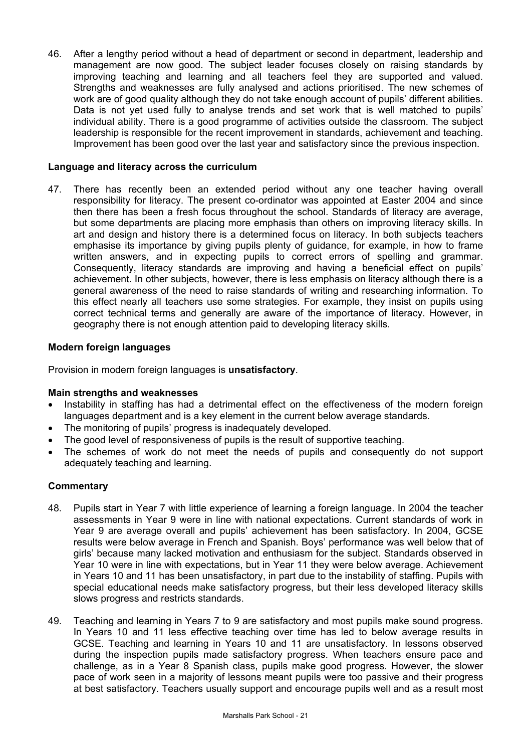46. After a lengthy period without a head of department or second in department, leadership and management are now good. The subject leader focuses closely on raising standards by improving teaching and learning and all teachers feel they are supported and valued. Strengths and weaknesses are fully analysed and actions prioritised. The new schemes of work are of good quality although they do not take enough account of pupils' different abilities. Data is not yet used fully to analyse trends and set work that is well matched to pupils' individual ability. There is a good programme of activities outside the classroom. The subject leadership is responsible for the recent improvement in standards, achievement and teaching. Improvement has been good over the last year and satisfactory since the previous inspection.

# **Language and literacy across the curriculum**

47. There has recently been an extended period without any one teacher having overall responsibility for literacy. The present co-ordinator was appointed at Easter 2004 and since then there has been a fresh focus throughout the school. Standards of literacy are average, but some departments are placing more emphasis than others on improving literacy skills. In art and design and history there is a determined focus on literacy. In both subjects teachers emphasise its importance by giving pupils plenty of guidance, for example, in how to frame written answers, and in expecting pupils to correct errors of spelling and grammar. Consequently, literacy standards are improving and having a beneficial effect on pupils' achievement. In other subjects, however, there is less emphasis on literacy although there is a general awareness of the need to raise standards of writing and researching information. To this effect nearly all teachers use some strategies. For example, they insist on pupils using correct technical terms and generally are aware of the importance of literacy. However, in geography there is not enough attention paid to developing literacy skills.

#### **Modern foreign languages**

Provision in modern foreign languages is **unsatisfactory**.

#### **Main strengths and weaknesses**

- Instability in staffing has had a detrimental effect on the effectiveness of the modern foreign languages department and is a key element in the current below average standards.
- The monitoring of pupils' progress is inadequately developed.
- The good level of responsiveness of pupils is the result of supportive teaching.
- The schemes of work do not meet the needs of pupils and consequently do not support adequately teaching and learning.

- 48. Pupils start in Year 7 with little experience of learning a foreign language. In 2004 the teacher assessments in Year 9 were in line with national expectations. Current standards of work in Year 9 are average overall and pupils' achievement has been satisfactory. In 2004, GCSE results were below average in French and Spanish. Boys' performance was well below that of girls' because many lacked motivation and enthusiasm for the subject. Standards observed in Year 10 were in line with expectations, but in Year 11 they were below average. Achievement in Years 10 and 11 has been unsatisfactory, in part due to the instability of staffing. Pupils with special educational needs make satisfactory progress, but their less developed literacy skills slows progress and restricts standards.
- 49. Teaching and learning in Years 7 to 9 are satisfactory and most pupils make sound progress. In Years 10 and 11 less effective teaching over time has led to below average results in GCSE. Teaching and learning in Years 10 and 11 are unsatisfactory. In lessons observed during the inspection pupils made satisfactory progress. When teachers ensure pace and challenge, as in a Year 8 Spanish class, pupils make good progress. However, the slower pace of work seen in a majority of lessons meant pupils were too passive and their progress at best satisfactory. Teachers usually support and encourage pupils well and as a result most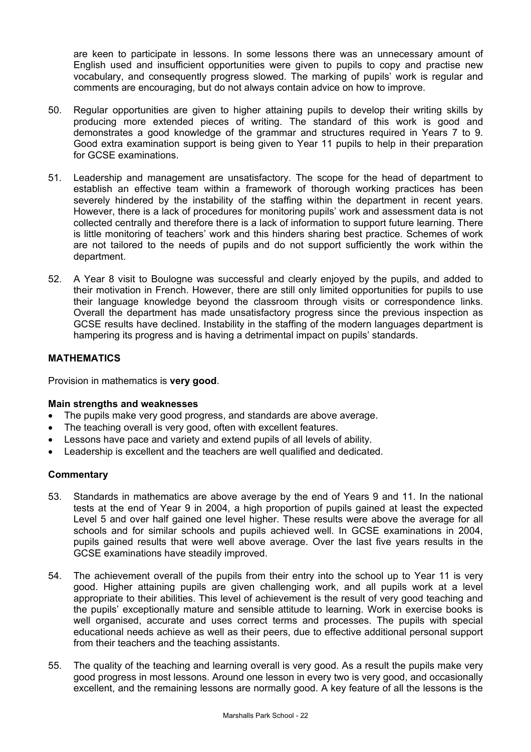are keen to participate in lessons. In some lessons there was an unnecessary amount of English used and insufficient opportunities were given to pupils to copy and practise new vocabulary, and consequently progress slowed. The marking of pupils' work is regular and comments are encouraging, but do not always contain advice on how to improve.

- 50. Regular opportunities are given to higher attaining pupils to develop their writing skills by producing more extended pieces of writing. The standard of this work is good and demonstrates a good knowledge of the grammar and structures required in Years 7 to 9. Good extra examination support is being given to Year 11 pupils to help in their preparation for GCSE examinations.
- 51. Leadership and management are unsatisfactory. The scope for the head of department to establish an effective team within a framework of thorough working practices has been severely hindered by the instability of the staffing within the department in recent years. However, there is a lack of procedures for monitoring pupils' work and assessment data is not collected centrally and therefore there is a lack of information to support future learning. There is little monitoring of teachers' work and this hinders sharing best practice. Schemes of work are not tailored to the needs of pupils and do not support sufficiently the work within the department.
- 52. A Year 8 visit to Boulogne was successful and clearly enjoyed by the pupils, and added to their motivation in French. However, there are still only limited opportunities for pupils to use their language knowledge beyond the classroom through visits or correspondence links. Overall the department has made unsatisfactory progress since the previous inspection as GCSE results have declined. Instability in the staffing of the modern languages department is hampering its progress and is having a detrimental impact on pupils' standards.

# **MATHEMATICS**

Provision in mathematics is **very good**.

# **Main strengths and weaknesses**

- The pupils make very good progress, and standards are above average.
- The teaching overall is very good, often with excellent features.
- Lessons have pace and variety and extend pupils of all levels of ability.
- Leadership is excellent and the teachers are well qualified and dedicated.

- 53. Standards in mathematics are above average by the end of Years 9 and 11. In the national tests at the end of Year 9 in 2004, a high proportion of pupils gained at least the expected Level 5 and over half gained one level higher. These results were above the average for all schools and for similar schools and pupils achieved well. In GCSE examinations in 2004, pupils gained results that were well above average. Over the last five years results in the GCSE examinations have steadily improved.
- 54. The achievement overall of the pupils from their entry into the school up to Year 11 is very good. Higher attaining pupils are given challenging work, and all pupils work at a level appropriate to their abilities. This level of achievement is the result of very good teaching and the pupils' exceptionally mature and sensible attitude to learning. Work in exercise books is well organised, accurate and uses correct terms and processes. The pupils with special educational needs achieve as well as their peers, due to effective additional personal support from their teachers and the teaching assistants.
- 55. The quality of the teaching and learning overall is very good. As a result the pupils make very good progress in most lessons. Around one lesson in every two is very good, and occasionally excellent, and the remaining lessons are normally good. A key feature of all the lessons is the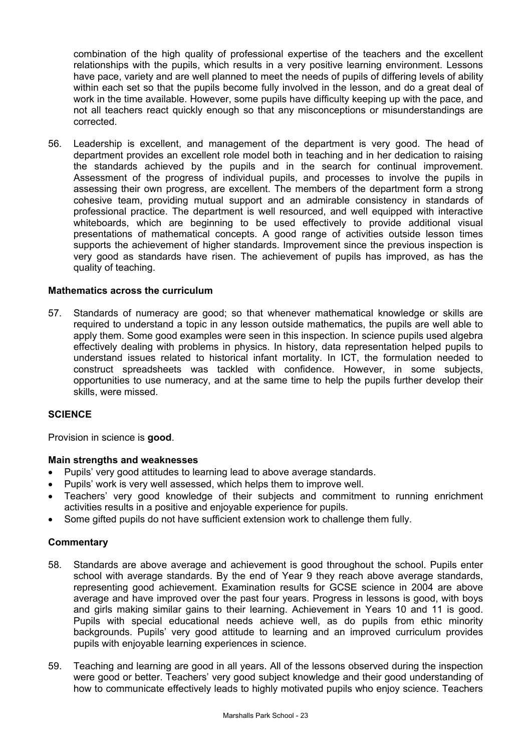combination of the high quality of professional expertise of the teachers and the excellent relationships with the pupils, which results in a very positive learning environment. Lessons have pace, variety and are well planned to meet the needs of pupils of differing levels of ability within each set so that the pupils become fully involved in the lesson, and do a great deal of work in the time available. However, some pupils have difficulty keeping up with the pace, and not all teachers react quickly enough so that any misconceptions or misunderstandings are corrected.

56. Leadership is excellent, and management of the department is very good. The head of department provides an excellent role model both in teaching and in her dedication to raising the standards achieved by the pupils and in the search for continual improvement. Assessment of the progress of individual pupils, and processes to involve the pupils in assessing their own progress, are excellent. The members of the department form a strong cohesive team, providing mutual support and an admirable consistency in standards of professional practice. The department is well resourced, and well equipped with interactive whiteboards, which are beginning to be used effectively to provide additional visual presentations of mathematical concepts. A good range of activities outside lesson times supports the achievement of higher standards. Improvement since the previous inspection is very good as standards have risen. The achievement of pupils has improved, as has the quality of teaching.

#### **Mathematics across the curriculum**

57. Standards of numeracy are good; so that whenever mathematical knowledge or skills are required to understand a topic in any lesson outside mathematics, the pupils are well able to apply them. Some good examples were seen in this inspection. In science pupils used algebra effectively dealing with problems in physics. In history, data representation helped pupils to understand issues related to historical infant mortality. In ICT, the formulation needed to construct spreadsheets was tackled with confidence. However, in some subjects, opportunities to use numeracy, and at the same time to help the pupils further develop their skills, were missed.

# **SCIENCE**

Provision in science is **good**.

#### **Main strengths and weaknesses**

- Pupils' very good attitudes to learning lead to above average standards.
- Pupils' work is very well assessed, which helps them to improve well.
- Teachers' very good knowledge of their subjects and commitment to running enrichment activities results in a positive and enjoyable experience for pupils.
- Some gifted pupils do not have sufficient extension work to challenge them fully.

- 58. Standards are above average and achievement is good throughout the school. Pupils enter school with average standards. By the end of Year 9 they reach above average standards, representing good achievement. Examination results for GCSE science in 2004 are above average and have improved over the past four years. Progress in lessons is good, with boys and girls making similar gains to their learning. Achievement in Years 10 and 11 is good. Pupils with special educational needs achieve well, as do pupils from ethic minority backgrounds. Pupils' very good attitude to learning and an improved curriculum provides pupils with enjoyable learning experiences in science.
- 59. Teaching and learning are good in all years. All of the lessons observed during the inspection were good or better. Teachers' very good subject knowledge and their good understanding of how to communicate effectively leads to highly motivated pupils who enjoy science. Teachers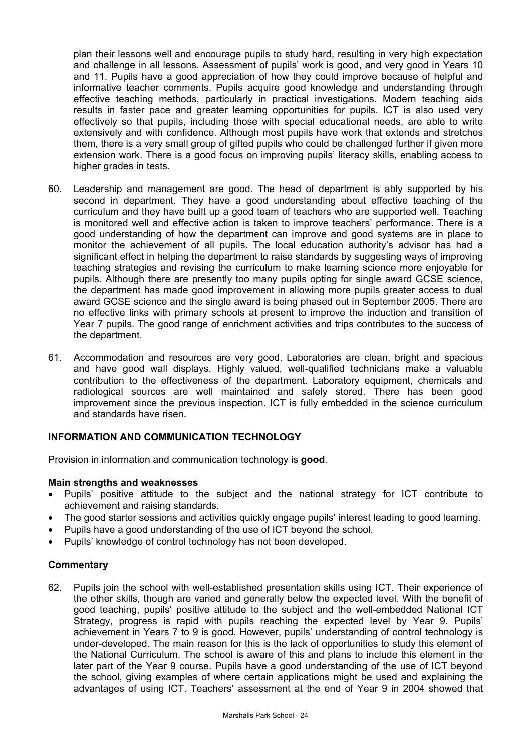plan their lessons well and encourage pupils to study hard, resulting in very high expectation and challenge in all lessons. Assessment of pupils' work is good, and very good in Years 10 and 11. Pupils have a good appreciation of how they could improve because of helpful and informative teacher comments. Pupils acquire good knowledge and understanding through effective teaching methods, particularly in practical investigations. Modern teaching aids results in faster pace and greater learning opportunities for pupils. ICT is also used very effectively so that pupils, including those with special educational needs, are able to write extensively and with confidence. Although most pupils have work that extends and stretches them, there is a very small group of gifted pupils who could be challenged further if given more extension work. There is a good focus on improving pupils' literacy skills, enabling access to higher grades in tests.

- 60. Leadership and management are good. The head of department is ably supported by his second in department. They have a good understanding about effective teaching of the curriculum and they have built up a good team of teachers who are supported well. Teaching is monitored well and effective action is taken to improve teachers' performance. There is a good understanding of how the department can improve and good systems are in place to monitor the achievement of all pupils. The local education authority's advisor has had a significant effect in helping the department to raise standards by suggesting ways of improving teaching strategies and revising the curriculum to make learning science more enjoyable for pupils. Although there are presently too many pupils opting for single award GCSE science, the department has made good improvement in allowing more pupils greater access to dual award GCSE science and the single award is being phased out in September 2005. There are no effective links with primary schools at present to improve the induction and transition of Year 7 pupils. The good range of enrichment activities and trips contributes to the success of the department.
- 61. Accommodation and resources are very good. Laboratories are clean, bright and spacious and have good wall displays. Highly valued, well-qualified technicians make a valuable contribution to the effectiveness of the department. Laboratory equipment, chemicals and radiological sources are well maintained and safely stored. There has been good improvement since the previous inspection. ICT is fully embedded in the science curriculum and standards have risen.

# **INFORMATION AND COMMUNICATION TECHNOLOGY**

Provision in information and communication technology is **good**.

#### **Main strengths and weaknesses**

- Pupils' positive attitude to the subject and the national strategy for ICT contribute to achievement and raising standards.
- The good starter sessions and activities quickly engage pupils' interest leading to good learning.
- Pupils have a good understanding of the use of ICT beyond the school.
- Pupils' knowledge of control technology has not been developed.

#### **Commentary**

62. Pupils join the school with well-established presentation skills using ICT. Their experience of the other skills, though are varied and generally below the expected level. With the benefit of good teaching, pupils' positive attitude to the subject and the well-embedded National ICT Strategy, progress is rapid with pupils reaching the expected level by Year 9. Pupils' achievement in Years 7 to 9 is good. However, pupils' understanding of control technology is under-developed. The main reason for this is the lack of opportunities to study this element of the National Curriculum. The school is aware of this and plans to include this element in the later part of the Year 9 course. Pupils have a good understanding of the use of ICT beyond the school, giving examples of where certain applications might be used and explaining the advantages of using ICT. Teachers' assessment at the end of Year 9 in 2004 showed that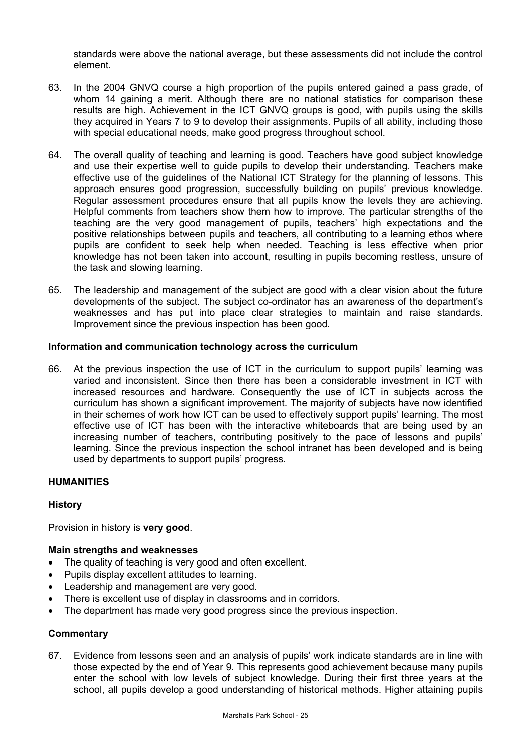standards were above the national average, but these assessments did not include the control element.

- 63. In the 2004 GNVQ course a high proportion of the pupils entered gained a pass grade, of whom 14 gaining a merit. Although there are no national statistics for comparison these results are high. Achievement in the ICT GNVQ groups is good, with pupils using the skills they acquired in Years 7 to 9 to develop their assignments. Pupils of all ability, including those with special educational needs, make good progress throughout school.
- 64. The overall quality of teaching and learning is good. Teachers have good subject knowledge and use their expertise well to guide pupils to develop their understanding. Teachers make effective use of the guidelines of the National ICT Strategy for the planning of lessons. This approach ensures good progression, successfully building on pupils' previous knowledge. Regular assessment procedures ensure that all pupils know the levels they are achieving. Helpful comments from teachers show them how to improve. The particular strengths of the teaching are the very good management of pupils, teachers' high expectations and the positive relationships between pupils and teachers, all contributing to a learning ethos where pupils are confident to seek help when needed. Teaching is less effective when prior knowledge has not been taken into account, resulting in pupils becoming restless, unsure of the task and slowing learning.
- 65. The leadership and management of the subject are good with a clear vision about the future developments of the subject. The subject co-ordinator has an awareness of the department's weaknesses and has put into place clear strategies to maintain and raise standards. Improvement since the previous inspection has been good.

# **Information and communication technology across the curriculum**

66. At the previous inspection the use of ICT in the curriculum to support pupils' learning was varied and inconsistent. Since then there has been a considerable investment in ICT with increased resources and hardware. Consequently the use of ICT in subjects across the curriculum has shown a significant improvement. The majority of subjects have now identified in their schemes of work how ICT can be used to effectively support pupils' learning. The most effective use of ICT has been with the interactive whiteboards that are being used by an increasing number of teachers, contributing positively to the pace of lessons and pupils' learning. Since the previous inspection the school intranet has been developed and is being used by departments to support pupils' progress.

# **HUMANITIES**

# **History**

Provision in history is **very good**.

# **Main strengths and weaknesses**

- The quality of teaching is very good and often excellent.
- Pupils display excellent attitudes to learning.
- Leadership and management are very good.
- There is excellent use of display in classrooms and in corridors.
- The department has made very good progress since the previous inspection.

#### **Commentary**

67. Evidence from lessons seen and an analysis of pupils' work indicate standards are in line with those expected by the end of Year 9. This represents good achievement because many pupils enter the school with low levels of subject knowledge. During their first three years at the school, all pupils develop a good understanding of historical methods. Higher attaining pupils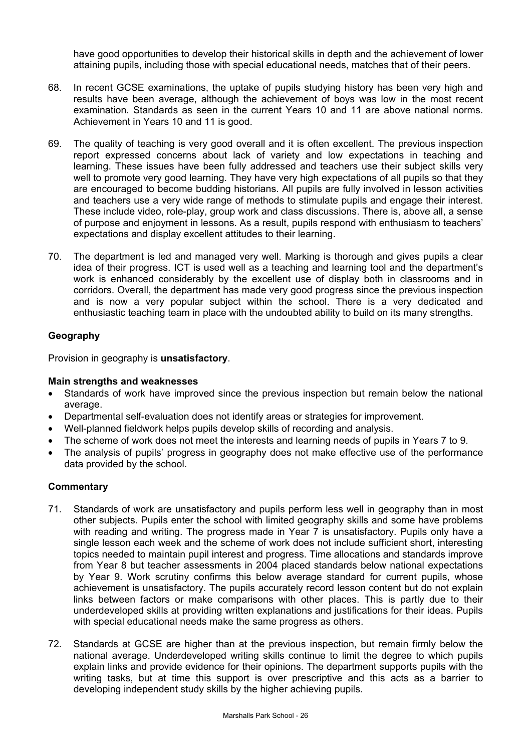have good opportunities to develop their historical skills in depth and the achievement of lower attaining pupils, including those with special educational needs, matches that of their peers.

- 68. In recent GCSE examinations, the uptake of pupils studying history has been very high and results have been average, although the achievement of boys was low in the most recent examination. Standards as seen in the current Years 10 and 11 are above national norms. Achievement in Years 10 and 11 is good.
- 69. The quality of teaching is very good overall and it is often excellent. The previous inspection report expressed concerns about lack of variety and low expectations in teaching and learning. These issues have been fully addressed and teachers use their subject skills very well to promote very good learning. They have very high expectations of all pupils so that they are encouraged to become budding historians. All pupils are fully involved in lesson activities and teachers use a very wide range of methods to stimulate pupils and engage their interest. These include video, role-play, group work and class discussions. There is, above all, a sense of purpose and enjoyment in lessons. As a result, pupils respond with enthusiasm to teachers' expectations and display excellent attitudes to their learning.
- 70. The department is led and managed very well. Marking is thorough and gives pupils a clear idea of their progress. ICT is used well as a teaching and learning tool and the department's work is enhanced considerably by the excellent use of display both in classrooms and in corridors. Overall, the department has made very good progress since the previous inspection and is now a very popular subject within the school. There is a very dedicated and enthusiastic teaching team in place with the undoubted ability to build on its many strengths.

# **Geography**

Provision in geography is **unsatisfactory**.

#### **Main strengths and weaknesses**

- Standards of work have improved since the previous inspection but remain below the national average.
- Departmental self-evaluation does not identify areas or strategies for improvement.
- Well-planned fieldwork helps pupils develop skills of recording and analysis.
- The scheme of work does not meet the interests and learning needs of pupils in Years 7 to 9.
- The analysis of pupils' progress in geography does not make effective use of the performance data provided by the school.

- 71. Standards of work are unsatisfactory and pupils perform less well in geography than in most other subjects. Pupils enter the school with limited geography skills and some have problems with reading and writing. The progress made in Year 7 is unsatisfactory. Pupils only have a single lesson each week and the scheme of work does not include sufficient short, interesting topics needed to maintain pupil interest and progress. Time allocations and standards improve from Year 8 but teacher assessments in 2004 placed standards below national expectations by Year 9. Work scrutiny confirms this below average standard for current pupils, whose achievement is unsatisfactory. The pupils accurately record lesson content but do not explain links between factors or make comparisons with other places. This is partly due to their underdeveloped skills at providing written explanations and justifications for their ideas. Pupils with special educational needs make the same progress as others.
- 72. Standards at GCSE are higher than at the previous inspection, but remain firmly below the national average. Underdeveloped writing skills continue to limit the degree to which pupils explain links and provide evidence for their opinions. The department supports pupils with the writing tasks, but at time this support is over prescriptive and this acts as a barrier to developing independent study skills by the higher achieving pupils.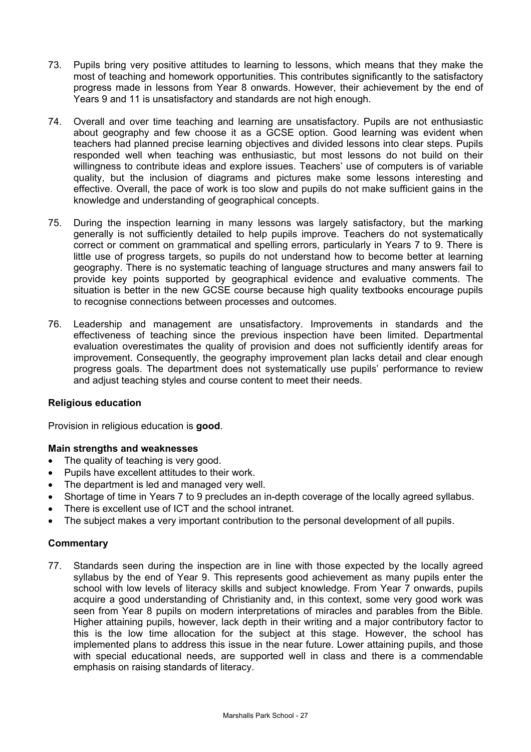- 73. Pupils bring very positive attitudes to learning to lessons, which means that they make the most of teaching and homework opportunities. This contributes significantly to the satisfactory progress made in lessons from Year 8 onwards. However, their achievement by the end of Years 9 and 11 is unsatisfactory and standards are not high enough.
- 74. Overall and over time teaching and learning are unsatisfactory. Pupils are not enthusiastic about geography and few choose it as a GCSE option. Good learning was evident when teachers had planned precise learning objectives and divided lessons into clear steps. Pupils responded well when teaching was enthusiastic, but most lessons do not build on their willingness to contribute ideas and explore issues. Teachers' use of computers is of variable quality, but the inclusion of diagrams and pictures make some lessons interesting and effective. Overall, the pace of work is too slow and pupils do not make sufficient gains in the knowledge and understanding of geographical concepts.
- 75. During the inspection learning in many lessons was largely satisfactory, but the marking generally is not sufficiently detailed to help pupils improve. Teachers do not systematically correct or comment on grammatical and spelling errors, particularly in Years 7 to 9. There is little use of progress targets, so pupils do not understand how to become better at learning geography. There is no systematic teaching of language structures and many answers fail to provide key points supported by geographical evidence and evaluative comments. The situation is better in the new GCSE course because high quality textbooks encourage pupils to recognise connections between processes and outcomes.
- 76. Leadership and management are unsatisfactory. Improvements in standards and the effectiveness of teaching since the previous inspection have been limited. Departmental evaluation overestimates the quality of provision and does not sufficiently identify areas for improvement. Consequently, the geography improvement plan lacks detail and clear enough progress goals. The department does not systematically use pupils' performance to review and adjust teaching styles and course content to meet their needs.

# **Religious education**

Provision in religious education is **good**.

# **Main strengths and weaknesses**

- The quality of teaching is very good.
- Pupils have excellent attitudes to their work.
- The department is led and managed very well.
- Shortage of time in Years 7 to 9 precludes an in-depth coverage of the locally agreed syllabus.
- There is excellent use of ICT and the school intranet.
- The subject makes a very important contribution to the personal development of all pupils.

# **Commentary**

77. Standards seen during the inspection are in line with those expected by the locally agreed syllabus by the end of Year 9. This represents good achievement as many pupils enter the school with low levels of literacy skills and subject knowledge. From Year 7 onwards, pupils acquire a good understanding of Christianity and, in this context, some very good work was seen from Year 8 pupils on modern interpretations of miracles and parables from the Bible. Higher attaining pupils, however, lack depth in their writing and a major contributory factor to this is the low time allocation for the subject at this stage. However, the school has implemented plans to address this issue in the near future. Lower attaining pupils, and those with special educational needs, are supported well in class and there is a commendable emphasis on raising standards of literacy.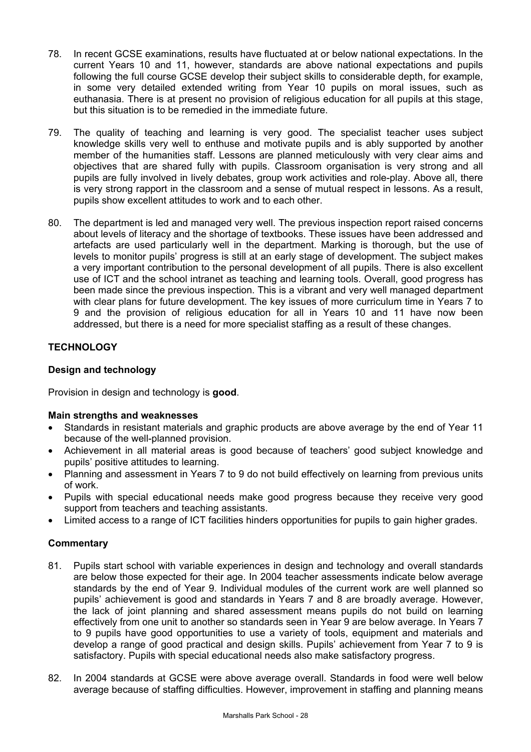- 78. In recent GCSE examinations, results have fluctuated at or below national expectations. In the current Years 10 and 11, however, standards are above national expectations and pupils following the full course GCSE develop their subject skills to considerable depth, for example, in some very detailed extended writing from Year 10 pupils on moral issues, such as euthanasia. There is at present no provision of religious education for all pupils at this stage, but this situation is to be remedied in the immediate future.
- 79. The quality of teaching and learning is very good. The specialist teacher uses subject knowledge skills very well to enthuse and motivate pupils and is ably supported by another member of the humanities staff. Lessons are planned meticulously with very clear aims and objectives that are shared fully with pupils. Classroom organisation is very strong and all pupils are fully involved in lively debates, group work activities and role-play. Above all, there is very strong rapport in the classroom and a sense of mutual respect in lessons. As a result, pupils show excellent attitudes to work and to each other.
- 80. The department is led and managed very well. The previous inspection report raised concerns about levels of literacy and the shortage of textbooks. These issues have been addressed and artefacts are used particularly well in the department. Marking is thorough, but the use of levels to monitor pupils' progress is still at an early stage of development. The subject makes a very important contribution to the personal development of all pupils. There is also excellent use of ICT and the school intranet as teaching and learning tools. Overall, good progress has been made since the previous inspection. This is a vibrant and very well managed department with clear plans for future development. The key issues of more curriculum time in Years 7 to 9 and the provision of religious education for all in Years 10 and 11 have now been addressed, but there is a need for more specialist staffing as a result of these changes.

# **TECHNOLOGY**

# **Design and technology**

Provision in design and technology is **good**.

# **Main strengths and weaknesses**

- Standards in resistant materials and graphic products are above average by the end of Year 11 because of the well-planned provision.
- Achievement in all material areas is good because of teachers' good subject knowledge and pupils' positive attitudes to learning.
- Planning and assessment in Years 7 to 9 do not build effectively on learning from previous units of work.
- Pupils with special educational needs make good progress because they receive very good support from teachers and teaching assistants.
- Limited access to a range of ICT facilities hinders opportunities for pupils to gain higher grades.

- 81. Pupils start school with variable experiences in design and technology and overall standards are below those expected for their age. In 2004 teacher assessments indicate below average standards by the end of Year 9. Individual modules of the current work are well planned so pupils' achievement is good and standards in Years 7 and 8 are broadly average. However, the lack of joint planning and shared assessment means pupils do not build on learning effectively from one unit to another so standards seen in Year 9 are below average. In Years 7 to 9 pupils have good opportunities to use a variety of tools, equipment and materials and develop a range of good practical and design skills. Pupils' achievement from Year 7 to 9 is satisfactory. Pupils with special educational needs also make satisfactory progress.
- 82. In 2004 standards at GCSE were above average overall. Standards in food were well below average because of staffing difficulties. However, improvement in staffing and planning means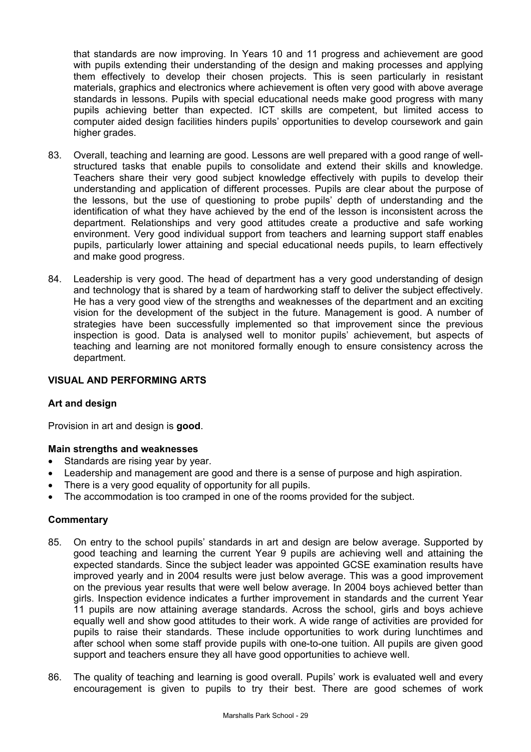that standards are now improving. In Years 10 and 11 progress and achievement are good with pupils extending their understanding of the design and making processes and applying them effectively to develop their chosen projects. This is seen particularly in resistant materials, graphics and electronics where achievement is often very good with above average standards in lessons. Pupils with special educational needs make good progress with many pupils achieving better than expected. ICT skills are competent, but limited access to computer aided design facilities hinders pupils' opportunities to develop coursework and gain higher grades.

- 83. Overall, teaching and learning are good. Lessons are well prepared with a good range of wellstructured tasks that enable pupils to consolidate and extend their skills and knowledge. Teachers share their very good subject knowledge effectively with pupils to develop their understanding and application of different processes. Pupils are clear about the purpose of the lessons, but the use of questioning to probe pupils' depth of understanding and the identification of what they have achieved by the end of the lesson is inconsistent across the department. Relationships and very good attitudes create a productive and safe working environment. Very good individual support from teachers and learning support staff enables pupils, particularly lower attaining and special educational needs pupils, to learn effectively and make good progress.
- 84. Leadership is very good. The head of department has a very good understanding of design and technology that is shared by a team of hardworking staff to deliver the subject effectively. He has a very good view of the strengths and weaknesses of the department and an exciting vision for the development of the subject in the future. Management is good. A number of strategies have been successfully implemented so that improvement since the previous inspection is good. Data is analysed well to monitor pupils' achievement, but aspects of teaching and learning are not monitored formally enough to ensure consistency across the department.

#### **VISUAL AND PERFORMING ARTS**

#### **Art and design**

Provision in art and design is **good**.

#### **Main strengths and weaknesses**

- Standards are rising year by year.
- Leadership and management are good and there is a sense of purpose and high aspiration.
- There is a very good equality of opportunity for all pupils.
- The accommodation is too cramped in one of the rooms provided for the subject.

- 85. On entry to the school pupils' standards in art and design are below average. Supported by good teaching and learning the current Year 9 pupils are achieving well and attaining the expected standards. Since the subject leader was appointed GCSE examination results have improved yearly and in 2004 results were just below average. This was a good improvement on the previous year results that were well below average. In 2004 boys achieved better than girls. Inspection evidence indicates a further improvement in standards and the current Year 11 pupils are now attaining average standards. Across the school, girls and boys achieve equally well and show good attitudes to their work. A wide range of activities are provided for pupils to raise their standards. These include opportunities to work during lunchtimes and after school when some staff provide pupils with one-to-one tuition. All pupils are given good support and teachers ensure they all have good opportunities to achieve well.
- 86. The quality of teaching and learning is good overall. Pupils' work is evaluated well and every encouragement is given to pupils to try their best. There are good schemes of work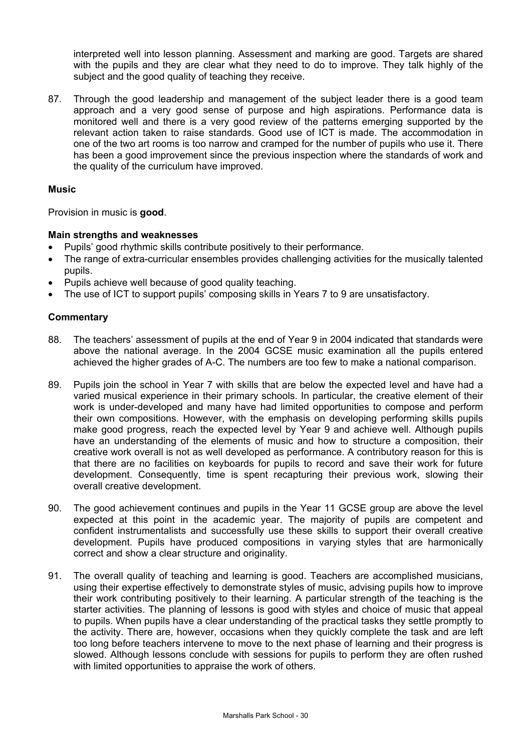interpreted well into lesson planning. Assessment and marking are good. Targets are shared with the pupils and they are clear what they need to do to improve. They talk highly of the subject and the good quality of teaching they receive.

87. Through the good leadership and management of the subject leader there is a good team approach and a very good sense of purpose and high aspirations. Performance data is monitored well and there is a very good review of the patterns emerging supported by the relevant action taken to raise standards. Good use of ICT is made. The accommodation in one of the two art rooms is too narrow and cramped for the number of pupils who use it. There has been a good improvement since the previous inspection where the standards of work and the quality of the curriculum have improved.

# **Music**

Provision in music is **good**.

# **Main strengths and weaknesses**

- Pupils' good rhythmic skills contribute positively to their performance.
- The range of extra-curricular ensembles provides challenging activities for the musically talented pupils.
- Pupils achieve well because of good quality teaching.
- The use of ICT to support pupils' composing skills in Years 7 to 9 are unsatisfactory.

- 88. The teachers' assessment of pupils at the end of Year 9 in 2004 indicated that standards were above the national average. In the 2004 GCSE music examination all the pupils entered achieved the higher grades of A-C. The numbers are too few to make a national comparison.
- 89. Pupils join the school in Year 7 with skills that are below the expected level and have had a varied musical experience in their primary schools. In particular, the creative element of their work is under-developed and many have had limited opportunities to compose and perform their own compositions. However, with the emphasis on developing performing skills pupils make good progress, reach the expected level by Year 9 and achieve well. Although pupils have an understanding of the elements of music and how to structure a composition, their creative work overall is not as well developed as performance. A contributory reason for this is that there are no facilities on keyboards for pupils to record and save their work for future development. Consequently, time is spent recapturing their previous work, slowing their overall creative development.
- 90. The good achievement continues and pupils in the Year 11 GCSE group are above the level expected at this point in the academic year. The majority of pupils are competent and confident instrumentalists and successfully use these skills to support their overall creative development. Pupils have produced compositions in varying styles that are harmonically correct and show a clear structure and originality.
- 91. The overall quality of teaching and learning is good. Teachers are accomplished musicians, using their expertise effectively to demonstrate styles of music, advising pupils how to improve their work contributing positively to their learning. A particular strength of the teaching is the starter activities. The planning of lessons is good with styles and choice of music that appeal to pupils. When pupils have a clear understanding of the practical tasks they settle promptly to the activity. There are, however, occasions when they quickly complete the task and are left too long before teachers intervene to move to the next phase of learning and their progress is slowed. Although lessons conclude with sessions for pupils to perform they are often rushed with limited opportunities to appraise the work of others.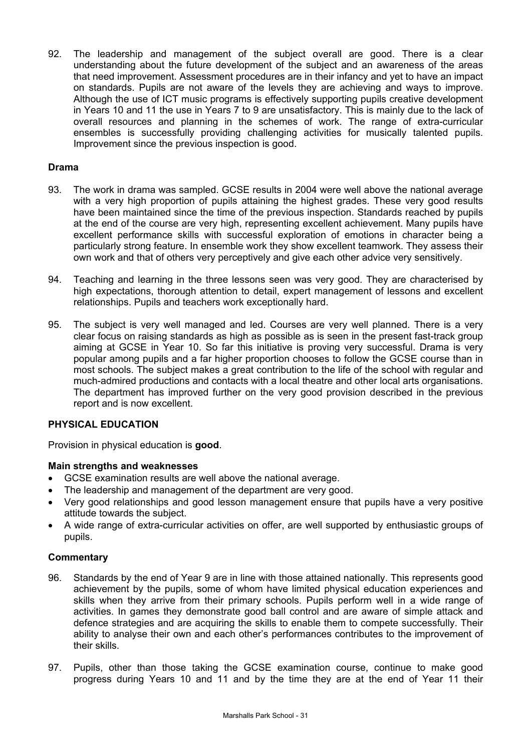92. The leadership and management of the subject overall are good. There is a clear understanding about the future development of the subject and an awareness of the areas that need improvement. Assessment procedures are in their infancy and yet to have an impact on standards. Pupils are not aware of the levels they are achieving and ways to improve. Although the use of ICT music programs is effectively supporting pupils creative development in Years 10 and 11 the use in Years 7 to 9 are unsatisfactory. This is mainly due to the lack of overall resources and planning in the schemes of work. The range of extra-curricular ensembles is successfully providing challenging activities for musically talented pupils. Improvement since the previous inspection is good.

# **Drama**

- 93. The work in drama was sampled. GCSE results in 2004 were well above the national average with a very high proportion of pupils attaining the highest grades. These very good results have been maintained since the time of the previous inspection. Standards reached by pupils at the end of the course are very high, representing excellent achievement. Many pupils have excellent performance skills with successful exploration of emotions in character being a particularly strong feature. In ensemble work they show excellent teamwork. They assess their own work and that of others very perceptively and give each other advice very sensitively.
- 94. Teaching and learning in the three lessons seen was very good. They are characterised by high expectations, thorough attention to detail, expert management of lessons and excellent relationships. Pupils and teachers work exceptionally hard.
- 95. The subject is very well managed and led. Courses are very well planned. There is a very clear focus on raising standards as high as possible as is seen in the present fast-track group aiming at GCSE in Year 10. So far this initiative is proving very successful. Drama is very popular among pupils and a far higher proportion chooses to follow the GCSE course than in most schools. The subject makes a great contribution to the life of the school with regular and much-admired productions and contacts with a local theatre and other local arts organisations. The department has improved further on the very good provision described in the previous report and is now excellent.

# **PHYSICAL EDUCATION**

Provision in physical education is **good**.

# **Main strengths and weaknesses**

- GCSE examination results are well above the national average.
- The leadership and management of the department are very good.
- Very good relationships and good lesson management ensure that pupils have a very positive attitude towards the subject.
- A wide range of extra-curricular activities on offer, are well supported by enthusiastic groups of pupils.

- 96. Standards by the end of Year 9 are in line with those attained nationally. This represents good achievement by the pupils, some of whom have limited physical education experiences and skills when they arrive from their primary schools. Pupils perform well in a wide range of activities. In games they demonstrate good ball control and are aware of simple attack and defence strategies and are acquiring the skills to enable them to compete successfully. Their ability to analyse their own and each other's performances contributes to the improvement of their skills.
- 97. Pupils, other than those taking the GCSE examination course, continue to make good progress during Years 10 and 11 and by the time they are at the end of Year 11 their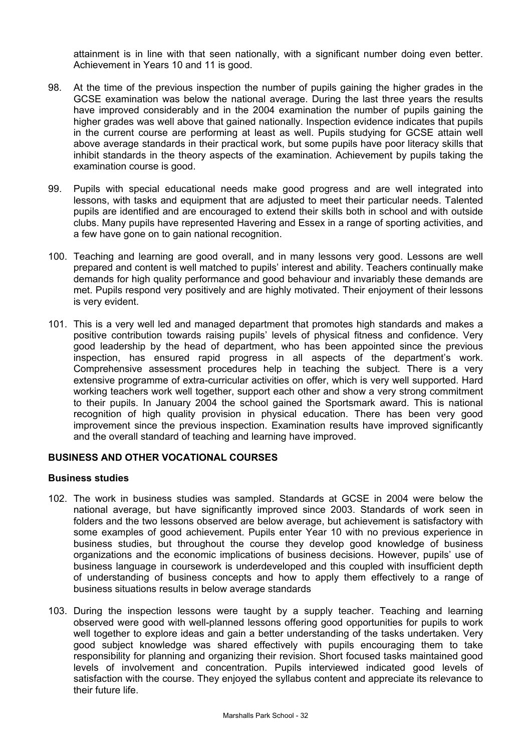attainment is in line with that seen nationally, with a significant number doing even better. Achievement in Years 10 and 11 is good.

- 98. At the time of the previous inspection the number of pupils gaining the higher grades in the GCSE examination was below the national average. During the last three years the results have improved considerably and in the 2004 examination the number of pupils gaining the higher grades was well above that gained nationally. Inspection evidence indicates that pupils in the current course are performing at least as well. Pupils studying for GCSE attain well above average standards in their practical work, but some pupils have poor literacy skills that inhibit standards in the theory aspects of the examination. Achievement by pupils taking the examination course is good.
- 99. Pupils with special educational needs make good progress and are well integrated into lessons, with tasks and equipment that are adjusted to meet their particular needs. Talented pupils are identified and are encouraged to extend their skills both in school and with outside clubs. Many pupils have represented Havering and Essex in a range of sporting activities, and a few have gone on to gain national recognition.
- 100. Teaching and learning are good overall, and in many lessons very good. Lessons are well prepared and content is well matched to pupils' interest and ability. Teachers continually make demands for high quality performance and good behaviour and invariably these demands are met. Pupils respond very positively and are highly motivated. Their enjoyment of their lessons is very evident.
- 101. This is a very well led and managed department that promotes high standards and makes a positive contribution towards raising pupils' levels of physical fitness and confidence. Very good leadership by the head of department, who has been appointed since the previous inspection, has ensured rapid progress in all aspects of the department's work. Comprehensive assessment procedures help in teaching the subject. There is a very extensive programme of extra-curricular activities on offer, which is very well supported. Hard working teachers work well together, support each other and show a very strong commitment to their pupils. In January 2004 the school gained the Sportsmark award. This is national recognition of high quality provision in physical education. There has been very good improvement since the previous inspection. Examination results have improved significantly and the overall standard of teaching and learning have improved.

# **BUSINESS AND OTHER VOCATIONAL COURSES**

#### **Business studies**

- 102. The work in business studies was sampled. Standards at GCSE in 2004 were below the national average, but have significantly improved since 2003. Standards of work seen in folders and the two lessons observed are below average, but achievement is satisfactory with some examples of good achievement. Pupils enter Year 10 with no previous experience in business studies, but throughout the course they develop good knowledge of business organizations and the economic implications of business decisions. However, pupils' use of business language in coursework is underdeveloped and this coupled with insufficient depth of understanding of business concepts and how to apply them effectively to a range of business situations results in below average standards
- 103. During the inspection lessons were taught by a supply teacher. Teaching and learning observed were good with well-planned lessons offering good opportunities for pupils to work well together to explore ideas and gain a better understanding of the tasks undertaken. Very good subject knowledge was shared effectively with pupils encouraging them to take responsibility for planning and organizing their revision. Short focused tasks maintained good levels of involvement and concentration. Pupils interviewed indicated good levels of satisfaction with the course. They enjoyed the syllabus content and appreciate its relevance to their future life.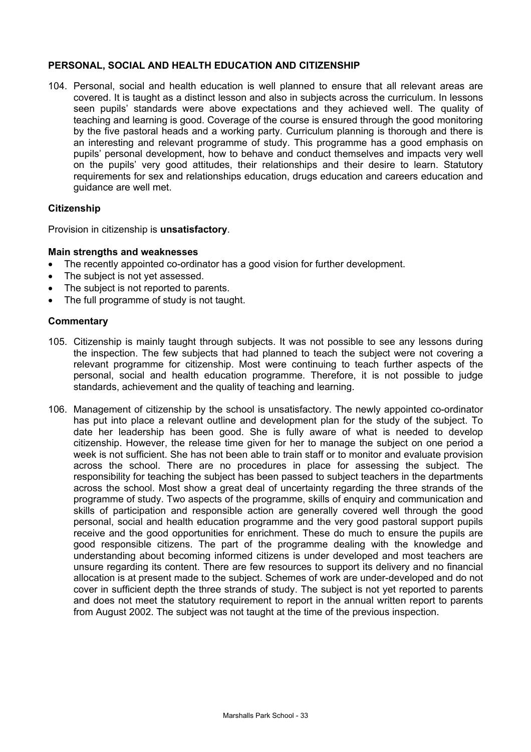#### **PERSONAL, SOCIAL AND HEALTH EDUCATION AND CITIZENSHIP**

104. Personal, social and health education is well planned to ensure that all relevant areas are covered. It is taught as a distinct lesson and also in subjects across the curriculum. In lessons seen pupils' standards were above expectations and they achieved well. The quality of teaching and learning is good. Coverage of the course is ensured through the good monitoring by the five pastoral heads and a working party. Curriculum planning is thorough and there is an interesting and relevant programme of study. This programme has a good emphasis on pupils' personal development, how to behave and conduct themselves and impacts very well on the pupils' very good attitudes, their relationships and their desire to learn. Statutory requirements for sex and relationships education, drugs education and careers education and guidance are well met.

#### **Citizenship**

Provision in citizenship is **unsatisfactory**.

#### **Main strengths and weaknesses**

- The recently appointed co-ordinator has a good vision for further development.
- The subject is not yet assessed.
- The subject is not reported to parents.
- The full programme of study is not taught.

- 105. Citizenship is mainly taught through subjects. It was not possible to see any lessons during the inspection. The few subjects that had planned to teach the subject were not covering a relevant programme for citizenship. Most were continuing to teach further aspects of the personal, social and health education programme. Therefore, it is not possible to judge standards, achievement and the quality of teaching and learning.
- 106. Management of citizenship by the school is unsatisfactory. The newly appointed co-ordinator has put into place a relevant outline and development plan for the study of the subject. To date her leadership has been good. She is fully aware of what is needed to develop citizenship. However, the release time given for her to manage the subject on one period a week is not sufficient. She has not been able to train staff or to monitor and evaluate provision across the school. There are no procedures in place for assessing the subject. The responsibility for teaching the subject has been passed to subject teachers in the departments across the school. Most show a great deal of uncertainty regarding the three strands of the programme of study. Two aspects of the programme, skills of enquiry and communication and skills of participation and responsible action are generally covered well through the good personal, social and health education programme and the very good pastoral support pupils receive and the good opportunities for enrichment. These do much to ensure the pupils are good responsible citizens. The part of the programme dealing with the knowledge and understanding about becoming informed citizens is under developed and most teachers are unsure regarding its content. There are few resources to support its delivery and no financial allocation is at present made to the subject. Schemes of work are under-developed and do not cover in sufficient depth the three strands of study. The subject is not yet reported to parents and does not meet the statutory requirement to report in the annual written report to parents from August 2002. The subject was not taught at the time of the previous inspection.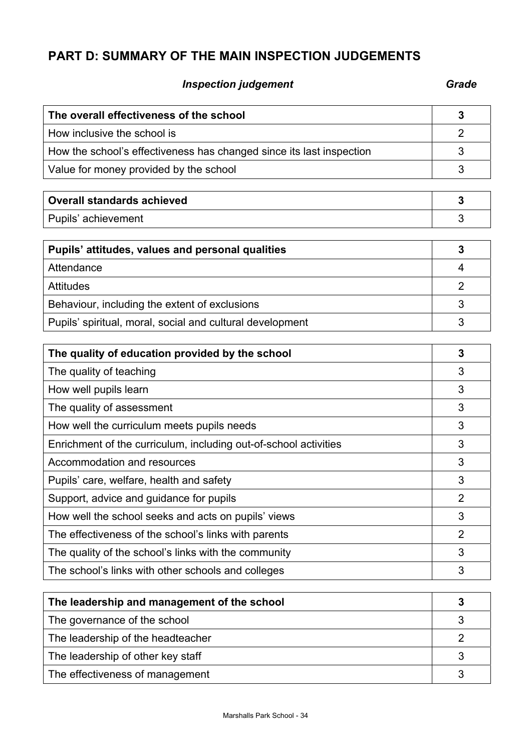# **PART D: SUMMARY OF THE MAIN INSPECTION JUDGEMENTS**

# **Inspection judgement** Grade **Grade**

| The overall effectiveness of the school                              | 3              |
|----------------------------------------------------------------------|----------------|
| How inclusive the school is                                          | $\overline{2}$ |
| How the school's effectiveness has changed since its last inspection | 3              |
| Value for money provided by the school                               | 3              |
|                                                                      |                |
| <b>Overall standards achieved</b>                                    | 3              |
| Pupils' achievement                                                  | 3              |
| Pupils' attitudes, values and personal qualities                     | 3              |
| Attendance                                                           | 4              |
| <b>Attitudes</b>                                                     | $\overline{2}$ |
| Behaviour, including the extent of exclusions                        | 3              |
| Pupils' spiritual, moral, social and cultural development            | 3              |
| The quality of education provided by the school                      | 3              |
| The quality of teaching                                              | 3              |
| How well pupils learn                                                | 3              |
| The quality of assessment                                            | 3              |
| How well the curriculum meets pupils needs                           | 3              |
| Enrichment of the curriculum, including out-of-school activities     | 3              |
| Accommodation and resources                                          | 3              |
| Pupils' care, welfare, health and safety                             | 3              |
| Support, advice and guidance for pupils                              | $\overline{2}$ |
| How well the school seeks and acts on pupils' views                  | 3              |
| The effectiveness of the school's links with parents                 | 2              |
| The quality of the school's links with the community                 | 3              |
| The school's links with other schools and colleges                   | 3              |
| The leadership and management of the school                          | 3              |
| The governance of the school                                         | 3              |
| The leadership of the headteacher                                    | $\overline{2}$ |

The leadership of other key staff 3

The effectiveness of management 3